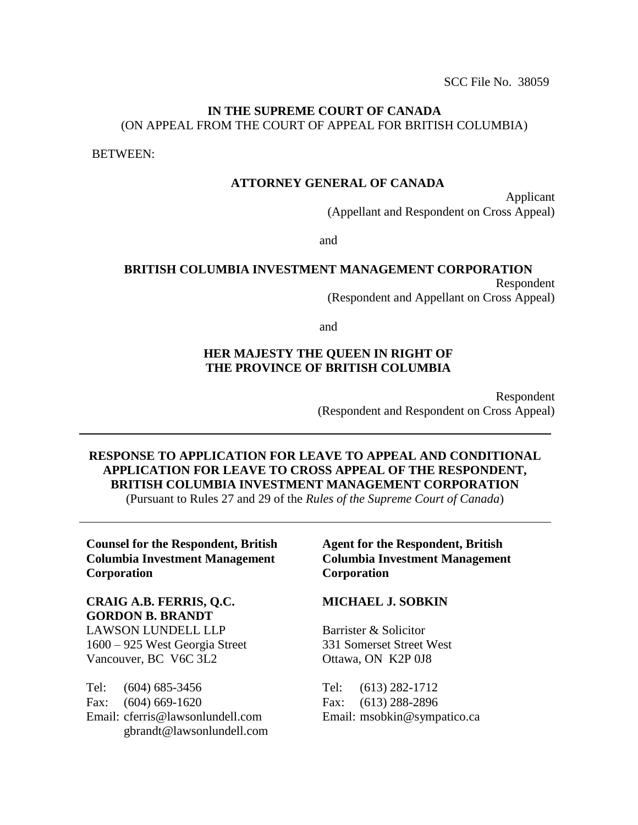SCC File No. 38059

#### **IN THE SUPREME COURT OF CANADA**  (ON APPEAL FROM THE COURT OF APPEAL FOR BRITISH COLUMBIA)

BETWEEN:

#### **ATTORNEY GENERAL OF CANADA**

Applicant (Appellant and Respondent on Cross Appeal)

and

#### **BRITISH COLUMBIA INVESTMENT MANAGEMENT CORPORATION** Respondent (Respondent and Appellant on Cross Appeal)

and

#### **HER MAJESTY THE QUEEN IN RIGHT OF THE PROVINCE OF BRITISH COLUMBIA**

Respondent (Respondent and Respondent on Cross Appeal)

# **RESPONSE TO APPLICATION FOR LEAVE TO APPEAL AND CONDITIONAL APPLICATION FOR LEAVE TO CROSS APPEAL OF THE RESPONDENT, BRITISH COLUMBIA INVESTMENT MANAGEMENT CORPORATION**

(Pursuant to Rules 27 and 29 of the *Rules of the Supreme Court of Canada*)

**Counsel for the Respondent, British Columbia Investment Management Corporation**

**CRAIG A.B. FERRIS, Q.C. GORDON B. BRANDT** LAWSON LUNDELL LLP 1600 – 925 West Georgia Street Vancouver, BC V6C 3L2

Tel: (604) 685-3456 Fax: (604) 669-1620 Email: cferris@lawsonlundell.com gbrandt@lawsonlundell.com

#### **Agent for the Respondent, British Columbia Investment Management Corporation**

#### **MICHAEL J. SOBKIN**

Barrister & Solicitor 331 Somerset Street West Ottawa, ON K2P 0J8

Tel: (613) 282-1712 Fax: (613) 288-2896 Email: msobkin@sympatico.ca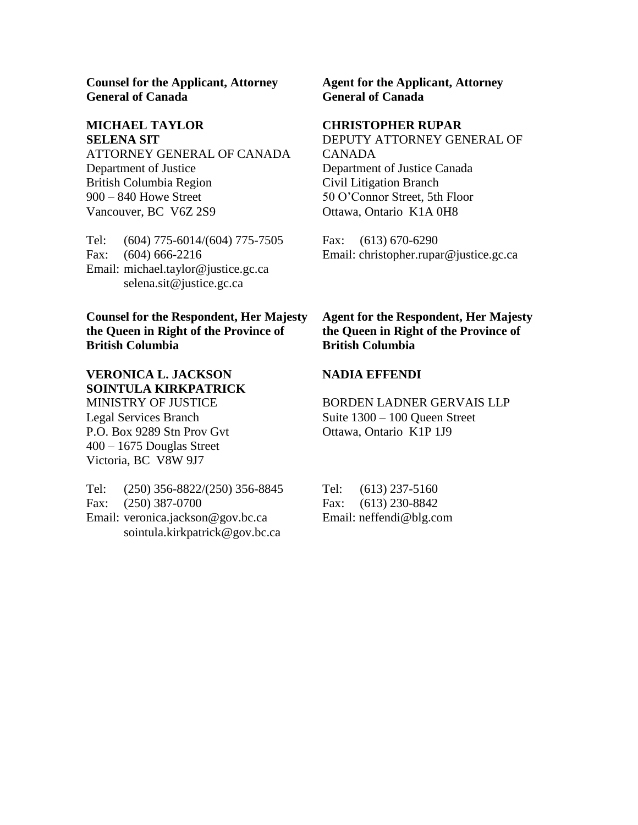**Counsel for the Applicant, Attorney General of Canada**

## **MICHAEL TAYLOR SELENA SIT**

ATTORNEY GENERAL OF CANADA Department of Justice British Columbia Region 900 – 840 Howe Street Vancouver, BC V6Z 2S9

Tel: (604) 775-6014/(604) 775-7505 Fax: (604) 666-2216 Email: michael.taylor@justice.gc.ca selena.sit@justice.gc.ca

## **Counsel for the Respondent, Her Majesty the Queen in Right of the Province of British Columbia**

#### **VERONICA L. JACKSON SOINTULA KIRKPATRICK** MINISTRY OF JUSTICE

Legal Services Branch P.O. Box 9289 Stn Prov Gvt 400 – 1675 Douglas Street Victoria, BC V8W 9J7

Tel: (250) 356-8822/(250) 356-8845 Fax: (250) 387-0700 Email: veronica.jackson@gov.bc.ca sointula.kirkpatrick@gov.bc.ca

**Agent for the Applicant, Attorney General of Canada**

#### **CHRISTOPHER RUPAR**

DEPUTY ATTORNEY GENERAL OF CANADA Department of Justice Canada Civil Litigation Branch 50 O'Connor Street, 5th Floor Ottawa, Ontario K1A 0H8

Fax: (613) 670-6290 Email: christopher.rupar@justice.gc.ca

### **Agent for the Respondent, Her Majesty the Queen in Right of the Province of British Columbia**

#### **NADIA EFFENDI**

BORDEN LADNER GERVAIS LLP Suite 1300 – 100 Queen Street Ottawa, Ontario K1P 1J9

Tel: (613) 237-5160 Fax: (613) 230-8842 Email: neffendi@blg.com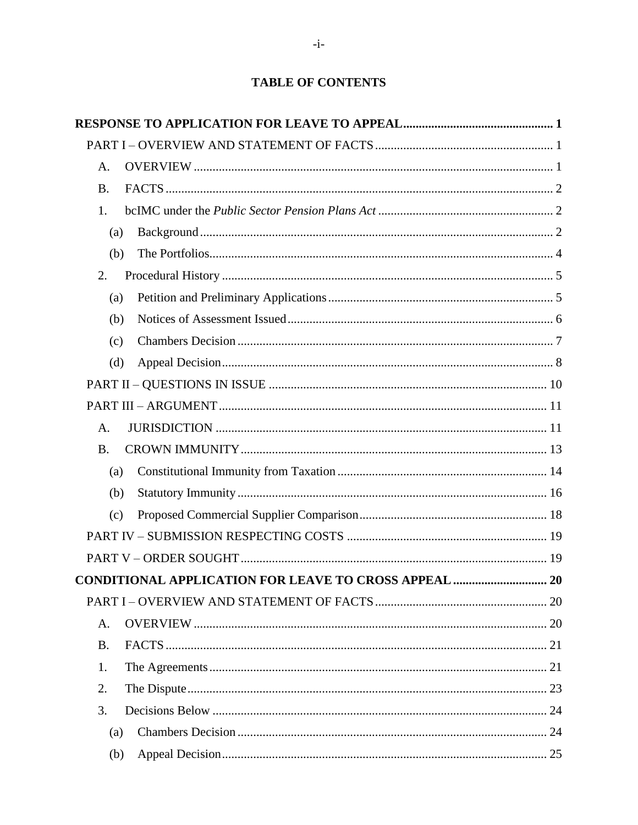# **TABLE OF CONTENTS**

| A.        |  |
|-----------|--|
| <b>B.</b> |  |
| 1.        |  |
| (a)       |  |
| (b)       |  |
| 2.        |  |
| (a)       |  |
| (b)       |  |
| (c)       |  |
| (d)       |  |
|           |  |
|           |  |
| A.        |  |
| <b>B.</b> |  |
| (a)       |  |
| (b)       |  |
| (c)       |  |
|           |  |
|           |  |
|           |  |
|           |  |
| A.        |  |
| <b>B.</b> |  |
| 1.        |  |
| 2.        |  |
| 3.        |  |
| (a)       |  |
| (b)       |  |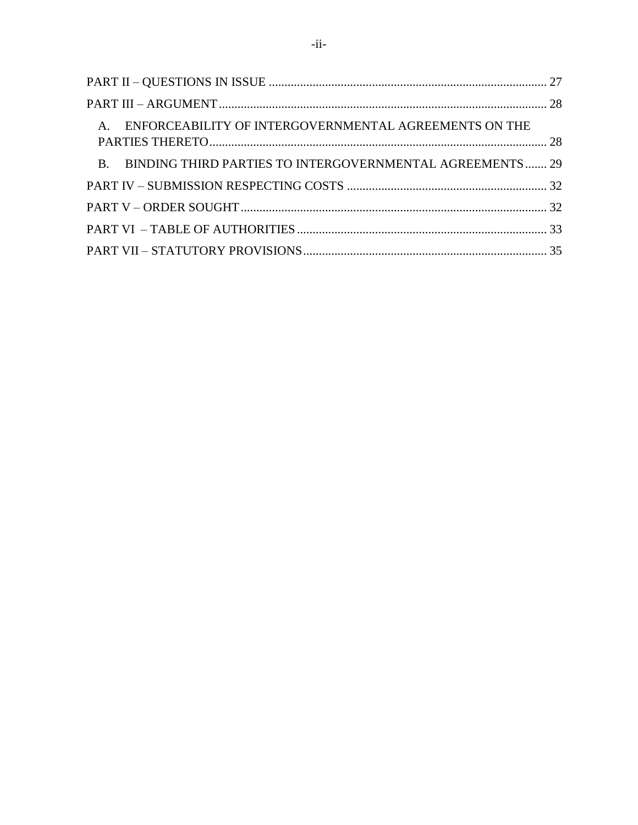| A. ENFORCEABILITY OF INTERGOVERNMENTAL AGREEMENTS ON THE    |  |
|-------------------------------------------------------------|--|
| B. BINDING THIRD PARTIES TO INTERGOVERNMENTAL AGREEMENTS 29 |  |
|                                                             |  |
|                                                             |  |
|                                                             |  |
|                                                             |  |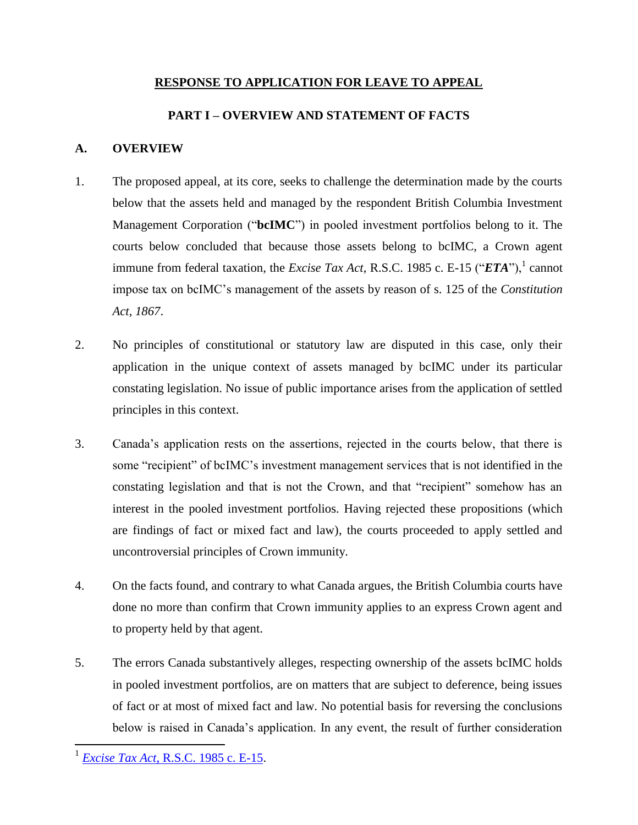## **RESPONSE TO APPLICATION FOR LEAVE TO APPEAL**

## **PART I – OVERVIEW AND STATEMENT OF FACTS**

## <span id="page-4-2"></span><span id="page-4-1"></span><span id="page-4-0"></span>**A. OVERVIEW**

- 1. The proposed appeal, at its core, seeks to challenge the determination made by the courts below that the assets held and managed by the respondent British Columbia Investment Management Corporation ("**bcIMC**") in pooled investment portfolios belong to it. The courts below concluded that because those assets belong to bcIMC, a Crown agent immune from federal taxation, the *Excise Tax Act*, R.S.C. 1985 c. E-15 (" $ETA$ "),<sup>1</sup> cannot impose tax on bcIMC's management of the assets by reason of s. 125 of the *Constitution Act, 1867*.
- 2. No principles of constitutional or statutory law are disputed in this case, only their application in the unique context of assets managed by bcIMC under its particular constating legislation. No issue of public importance arises from the application of settled principles in this context.
- 3. Canada's application rests on the assertions, rejected in the courts below, that there is some "recipient" of bcIMC's investment management services that is not identified in the constating legislation and that is not the Crown, and that "recipient" somehow has an interest in the pooled investment portfolios. Having rejected these propositions (which are findings of fact or mixed fact and law), the courts proceeded to apply settled and uncontroversial principles of Crown immunity.
- 4. On the facts found, and contrary to what Canada argues, the British Columbia courts have done no more than confirm that Crown immunity applies to an express Crown agent and to property held by that agent.
- 5. The errors Canada substantively alleges, respecting ownership of the assets bcIMC holds in pooled investment portfolios, are on matters that are subject to deference, being issues of fact or at most of mixed fact and law. No potential basis for reversing the conclusions below is raised in Canada's application. In any event, the result of further consideration

<sup>1</sup> *Excise Tax Act*[, R.S.C. 1985 c. E-15.](http://laws-lois.justice.gc.ca/eng/acts/E-15/)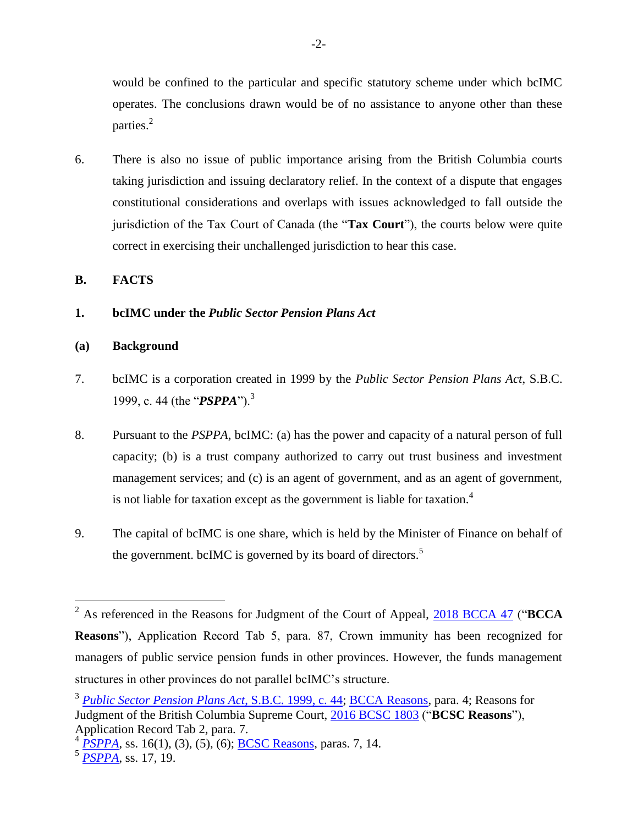would be confined to the particular and specific statutory scheme under which bcIMC operates. The conclusions drawn would be of no assistance to anyone other than these parties. $^{2}$ 

6. There is also no issue of public importance arising from the British Columbia courts taking jurisdiction and issuing declaratory relief. In the context of a dispute that engages constitutional considerations and overlaps with issues acknowledged to fall outside the jurisdiction of the Tax Court of Canada (the "**Tax Court**"), the courts below were quite correct in exercising their unchallenged jurisdiction to hear this case.

<span id="page-5-0"></span>**B. FACTS**

<span id="page-5-1"></span>**1. bcIMC under the** *Public Sector Pension Plans Act*

#### <span id="page-5-2"></span>**(a) Background**

- 7. bcIMC is a corporation created in 1999 by the *Public Sector Pension Plans Act*, S.B.C. 1999, c. 44 (the "*PSPPA*").<sup>3</sup>
- 8. Pursuant to the *PSPPA*, bcIMC: (a) has the power and capacity of a natural person of full capacity; (b) is a trust company authorized to carry out trust business and investment management services; and (c) is an agent of government, and as an agent of government, is not liable for taxation except as the government is liable for taxation.<sup>4</sup>
- 9. The capital of bcIMC is one share, which is held by the Minister of Finance on behalf of the government. bcIMC is governed by its board of directors.<sup>5</sup>

<sup>2</sup> As referenced in the Reasons for Judgment of the Court of Appeal, [2018 BCCA 47](http://canlii.ca/t/hq7sr) ("**BCCA Reasons**"), Application Record Tab 5, para. 87, Crown immunity has been recognized for managers of public service pension funds in other provinces. However, the funds management structures in other provinces do not parallel bcIMC's structure.

<sup>3</sup> *[Public Sector Pension Plans Act](http://canlii.ca/t/84k3)*, S.B.C. 1999, c. 44; [BCCA Reasons,](http://canlii.ca/t/hq7sr) para. 4; Reasons for Judgment of the British Columbia Supreme Court, [2016 BCSC 1803](http://canlii.ca/t/gtxj0) ("**BCSC Reasons**"), Application Record Tab 2, para. 7.

<sup>&</sup>lt;sup>4</sup> *[PSPPA](http://canlii.ca/t/84k3)*, ss. 16(1), (3), (5), (6); **BCSC Reasons**, paras. 7, 14.

<sup>5</sup> *[PSPPA](http://canlii.ca/t/84k3)*, ss. 17, 19.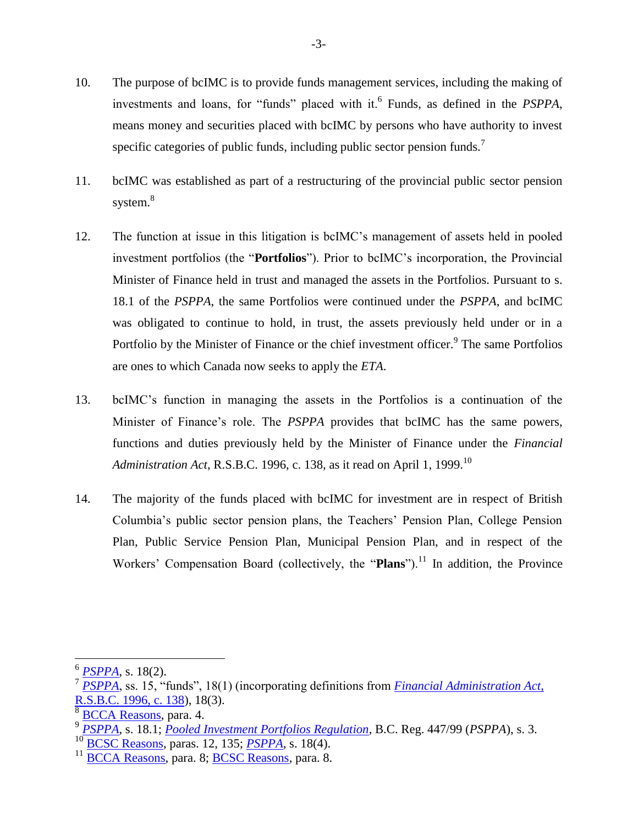- 10. The purpose of bcIMC is to provide funds management services, including the making of investments and loans, for "funds" placed with it.<sup>6</sup> Funds, as defined in the *PSPPA*, means money and securities placed with bcIMC by persons who have authority to invest specific categories of public funds, including public sector pension funds.<sup>7</sup>
- 11. bcIMC was established as part of a restructuring of the provincial public sector pension system.<sup>8</sup>
- 12. The function at issue in this litigation is bcIMC's management of assets held in pooled investment portfolios (the "**Portfolios**"). Prior to bcIMC's incorporation, the Provincial Minister of Finance held in trust and managed the assets in the Portfolios. Pursuant to s. 18.1 of the *PSPPA*, the same Portfolios were continued under the *PSPPA*, and bcIMC was obligated to continue to hold, in trust, the assets previously held under or in a Portfolio by the Minister of Finance or the chief investment officer.<sup>9</sup> The same Portfolios are ones to which Canada now seeks to apply the *ETA*.
- 13. bcIMC's function in managing the assets in the Portfolios is a continuation of the Minister of Finance's role. The *PSPPA* provides that bcIMC has the same powers, functions and duties previously held by the Minister of Finance under the *Financial Administration Act*, R.S.B.C. 1996, c. 138, as it read on April 1, 1999.<sup>10</sup>
- 14. The majority of the funds placed with bcIMC for investment are in respect of British Columbia's public sector pension plans, the Teachers' Pension Plan, College Pension Plan, Public Service Pension Plan, Municipal Pension Plan, and in respect of the Workers' Compensation Board (collectively, the "**Plans**").<sup>11</sup> In addition, the Province

<sup>6</sup> *[PSPPA](http://canlii.ca/t/84k3)*, s. 18(2).

<sup>7</sup> *[PSPPA](http://canlii.ca/t/84k3)*, ss. 15, "funds", 18(1) (incorporating definitions from *[Financial Administration Act](http://canlii.ca/t/8411)*, [R.S.B.C. 1996, c. 138\)](http://canlii.ca/t/8411), 18(3).

<sup>8</sup> [BCCA Reasons,](http://canlii.ca/t/hq7sr) para. 4.

<sup>9</sup> *[PSPPA](http://canlii.ca/t/84k3)*, s. 18.1; *[Pooled Investment Portfolios Regulation](http://canlii.ca/t/85qw)*, B.C. Reg. 447/99 (*PSPPA*), s. 3.

<sup>10</sup> [BCSC Reasons,](http://canlii.ca/t/gtxj0) paras. 12, 135; *[PSPPA](http://canlii.ca/t/84k3)*, s. 18(4).

<sup>11</sup> [BCCA Reasons,](http://canlii.ca/t/hq7sr) para. 8; [BCSC Reasons,](http://canlii.ca/t/gtxj0) para. 8.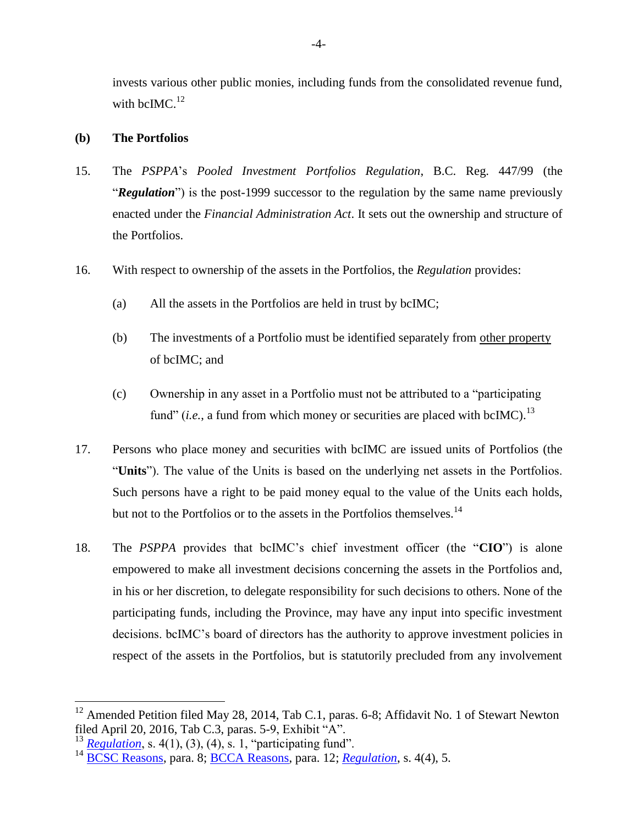invests various other public monies, including funds from the consolidated revenue fund, with bcIMC. $^{12}$ 

#### <span id="page-7-0"></span>**(b) The Portfolios**

- 15. The *PSPPA*'s *Pooled Investment Portfolios Regulation*, B.C. Reg. 447/99 (the "*Regulation*") is the post-1999 successor to the regulation by the same name previously enacted under the *Financial Administration Act*. It sets out the ownership and structure of the Portfolios.
- 16. With respect to ownership of the assets in the Portfolios, the *Regulation* provides:
	- (a) All the assets in the Portfolios are held in trust by bcIMC;
	- (b) The investments of a Portfolio must be identified separately from other property of bcIMC; and
	- (c) Ownership in any asset in a Portfolio must not be attributed to a "participating fund" (*i.e.*, a fund from which money or securities are placed with bcIMC).<sup>13</sup>
- 17. Persons who place money and securities with bcIMC are issued units of Portfolios (the "**Units**"). The value of the Units is based on the underlying net assets in the Portfolios. Such persons have a right to be paid money equal to the value of the Units each holds, but not to the Portfolios or to the assets in the Portfolios themselves.<sup>14</sup>
- 18. The *PSPPA* provides that bcIMC's chief investment officer (the "**CIO**") is alone empowered to make all investment decisions concerning the assets in the Portfolios and, in his or her discretion, to delegate responsibility for such decisions to others. None of the participating funds, including the Province, may have any input into specific investment decisions. bcIMC's board of directors has the authority to approve investment policies in respect of the assets in the Portfolios, but is statutorily precluded from any involvement

<sup>&</sup>lt;sup>12</sup> Amended Petition filed May 28, 2014, Tab C.1, paras. 6-8; Affidavit No. 1 of Stewart Newton filed April 20, 2016, Tab C.3, paras. 5-9, Exhibit "A".

<sup>&</sup>lt;sup>13</sup> *[Regulation](http://canlii.ca/t/85qw)*, s. 4(1), (3), (4), s. 1, "participating fund".

<sup>14</sup> [BCSC Reasons,](http://canlii.ca/t/gtxj0) para. 8; [BCCA Reasons,](http://canlii.ca/t/hq7sr) para. 12; *[Regulation](http://canlii.ca/t/85qw)*, s. 4(4), 5.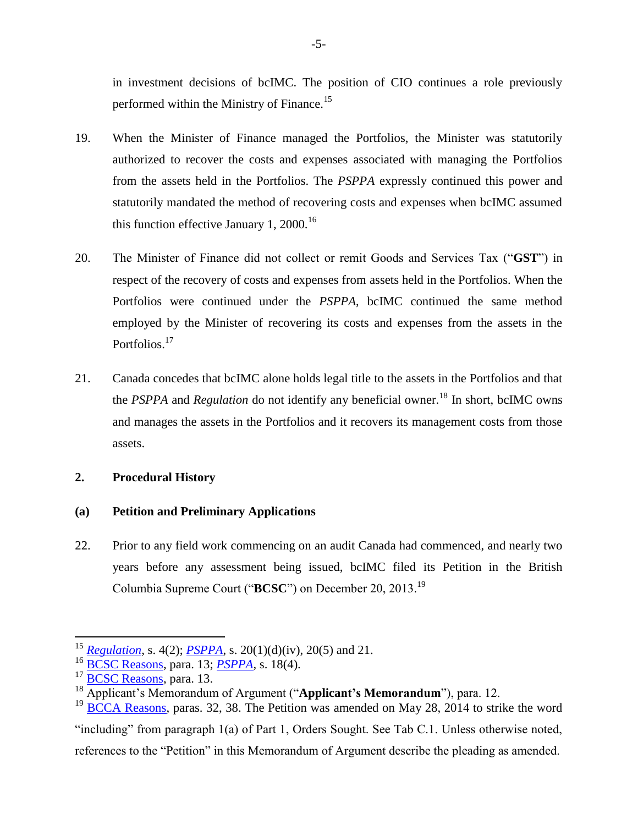in investment decisions of bcIMC. The position of CIO continues a role previously performed within the Ministry of Finance.<sup>15</sup>

- 19. When the Minister of Finance managed the Portfolios, the Minister was statutorily authorized to recover the costs and expenses associated with managing the Portfolios from the assets held in the Portfolios. The *PSPPA* expressly continued this power and statutorily mandated the method of recovering costs and expenses when bcIMC assumed this function effective January 1, 2000.<sup>16</sup>
- 20. The Minister of Finance did not collect or remit Goods and Services Tax ("**GST**") in respect of the recovery of costs and expenses from assets held in the Portfolios. When the Portfolios were continued under the *PSPPA*, bcIMC continued the same method employed by the Minister of recovering its costs and expenses from the assets in the Portfolios.<sup>17</sup>
- 21. Canada concedes that bcIMC alone holds legal title to the assets in the Portfolios and that the *PSPPA* and *Regulation* do not identify any beneficial owner.<sup>18</sup> In short, bcIMC owns and manages the assets in the Portfolios and it recovers its management costs from those assets.

## <span id="page-8-0"></span>**2. Procedural History**

## <span id="page-8-1"></span>**(a) Petition and Preliminary Applications**

22. Prior to any field work commencing on an audit Canada had commenced, and nearly two years before any assessment being issued, bcIMC filed its Petition in the British Columbia Supreme Court ("**BCSC**") on December 20, 2013.<sup>19</sup>

 $\overline{a}$ 

"including" from paragraph 1(a) of Part 1, Orders Sought. See Tab C.1. Unless otherwise noted, references to the "Petition" in this Memorandum of Argument describe the pleading as amended.

<sup>15</sup> *[Regulation](http://canlii.ca/t/85qw)*, s. 4(2); *[PSPPA](http://canlii.ca/t/84k3)*, s. 20(1)(d)(iv), 20(5) and 21.

<sup>16</sup> [BCSC Reasons,](http://canlii.ca/t/gtxj0) para. 13; *[PSPPA](http://canlii.ca/t/84k3)*, s. 18(4).

<sup>&</sup>lt;sup>17</sup> [BCSC Reasons,](http://canlii.ca/t/gtxj0) para. 13.

<sup>18</sup> Applicant's Memorandum of Argument ("**Applicant's Memorandum**"), para. 12. <sup>19</sup> [BCCA Reasons,](http://canlii.ca/t/hq7sr) paras. 32, 38. The Petition was amended on May 28, 2014 to strike the word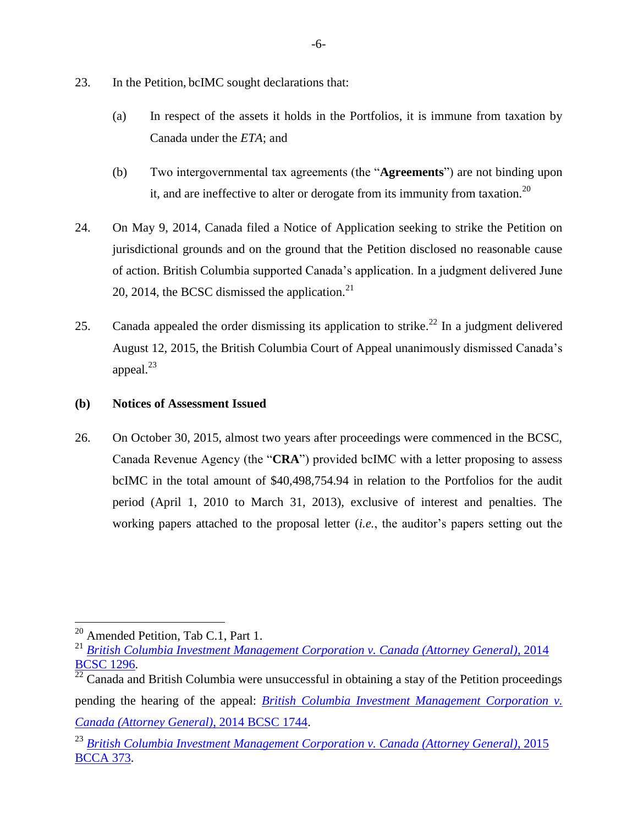- 23. In the Petition, bcIMC sought declarations that:
	- (a) In respect of the assets it holds in the Portfolios, it is immune from taxation by Canada under the *ETA*; and
	- (b) Two intergovernmental tax agreements (the "**Agreements**") are not binding upon it, and are ineffective to alter or derogate from its immunity from taxation.<sup>20</sup>
- 24. On May 9, 2014, Canada filed a Notice of Application seeking to strike the Petition on jurisdictional grounds and on the ground that the Petition disclosed no reasonable cause of action. British Columbia supported Canada's application. In a judgment delivered June 20, 2014, the BCSC dismissed the application. $^{21}$
- 25. Canada appealed the order dismissing its application to strike.<sup>22</sup> In a judgment delivered August 12, 2015, the British Columbia Court of Appeal unanimously dismissed Canada's appeal. $^{23}$
- <span id="page-9-0"></span>**(b) Notices of Assessment Issued**
- 26. On October 30, 2015, almost two years after proceedings were commenced in the BCSC, Canada Revenue Agency (the "**CRA**") provided bcIMC with a letter proposing to assess bcIMC in the total amount of \$40,498,754.94 in relation to the Portfolios for the audit period (April 1, 2010 to March 31, 2013), exclusive of interest and penalties. The working papers attached to the proposal letter (*i.e.*, the auditor's papers setting out the

 $20$  Amended Petition, Tab C.1, Part 1.

<sup>21</sup> *[British Columbia Investment Management Corporation v. Canada \(Attorney General\)](http://canlii.ca/t/g814h)*, 2014 [BCSC 1296.](http://canlii.ca/t/g814h)

 $^{22}$  Canada and British Columbia were unsuccessful in obtaining a stay of the Petition proceedings pending the hearing of the appeal: *[British Columbia Investment Management Corporation v.](http://canlii.ca/t/g90x1)  [Canada \(Attorney General\)](http://canlii.ca/t/g90x1)*, 2014 BCSC 1744.

<sup>23</sup> *[British Columbia Investment Management Corporation v. Canada \(Attorney General\)](http://canlii.ca/t/gkvht)*, 2015 [BCCA 373.](http://canlii.ca/t/gkvht)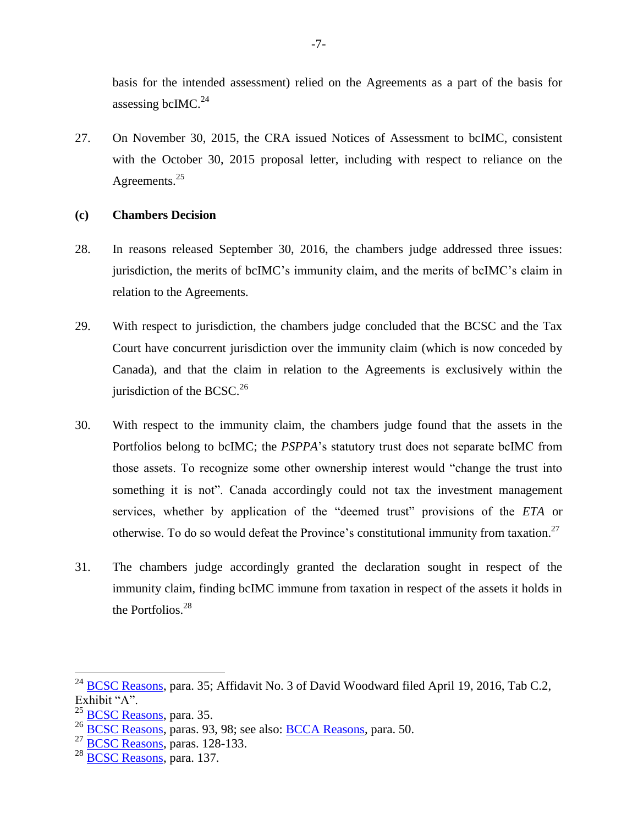basis for the intended assessment) relied on the Agreements as a part of the basis for assessing bcIMC.<sup>24</sup>

27. On November 30, 2015, the CRA issued Notices of Assessment to bcIMC, consistent with the October 30, 2015 proposal letter, including with respect to reliance on the Agreements. $25$ 

#### <span id="page-10-0"></span>**(c) Chambers Decision**

- 28. In reasons released September 30, 2016, the chambers judge addressed three issues: jurisdiction, the merits of bcIMC's immunity claim, and the merits of bcIMC's claim in relation to the Agreements.
- 29. With respect to jurisdiction, the chambers judge concluded that the BCSC and the Tax Court have concurrent jurisdiction over the immunity claim (which is now conceded by Canada), and that the claim in relation to the Agreements is exclusively within the jurisdiction of the BCSC. $^{26}$
- 30. With respect to the immunity claim, the chambers judge found that the assets in the Portfolios belong to bcIMC; the *PSPPA*'s statutory trust does not separate bcIMC from those assets. To recognize some other ownership interest would "change the trust into something it is not". Canada accordingly could not tax the investment management services, whether by application of the "deemed trust" provisions of the *ETA* or otherwise. To do so would defeat the Province's constitutional immunity from taxation.<sup>27</sup>
- 31. The chambers judge accordingly granted the declaration sought in respect of the immunity claim, finding bcIMC immune from taxation in respect of the assets it holds in the Portfolios. $28$

 $^{24}$  [BCSC Reasons,](http://canlii.ca/t/gtxj0) para. 35; Affidavit No. 3 of David Woodward filed April 19, 2016, Tab C.2, Exhibit "A".

<sup>&</sup>lt;sup>25</sup> [BCSC Reasons,](http://canlii.ca/t/gtxj0) para. 35.

<sup>26</sup> [BCSC Reasons,](http://canlii.ca/t/gtxj0) paras. 93, 98; see also: [BCCA Reasons,](http://canlii.ca/t/hq7sr) para. 50.

 $^{27}$  [BCSC Reasons,](http://canlii.ca/t/gtxj0) paras. 128-133.

 $28$  [BCSC Reasons,](http://canlii.ca/t/gtxj0) para. 137.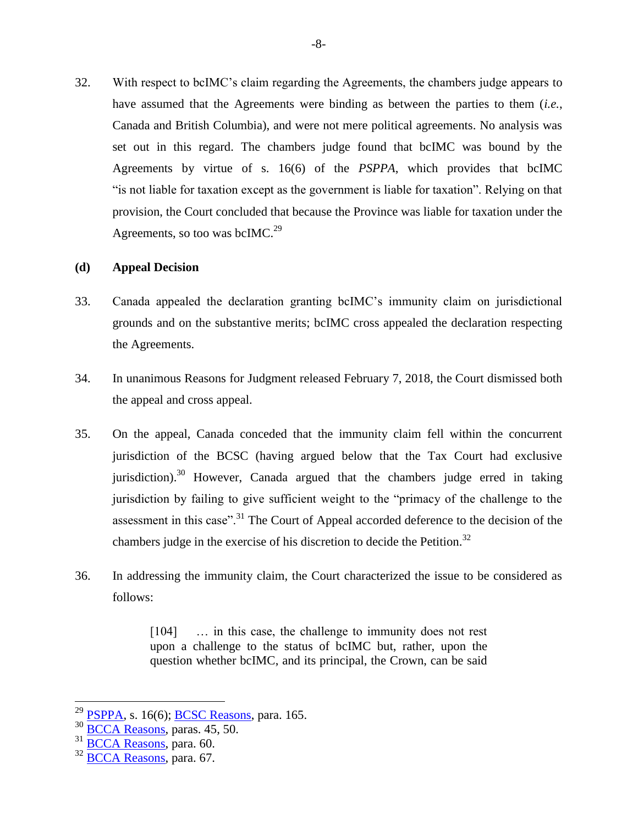32. With respect to bcIMC's claim regarding the Agreements, the chambers judge appears to have assumed that the Agreements were binding as between the parties to them (*i.e.*, Canada and British Columbia), and were not mere political agreements. No analysis was set out in this regard. The chambers judge found that bcIMC was bound by the Agreements by virtue of s. 16(6) of the *PSPPA*, which provides that bcIMC "is not liable for taxation except as the government is liable for taxation". Relying on that provision, the Court concluded that because the Province was liable for taxation under the Agreements, so too was bcIMC.<sup>29</sup>

#### <span id="page-11-0"></span>**(d) Appeal Decision**

- 33. Canada appealed the declaration granting bcIMC's immunity claim on jurisdictional grounds and on the substantive merits; bcIMC cross appealed the declaration respecting the Agreements.
- 34. In unanimous Reasons for Judgment released February 7, 2018, the Court dismissed both the appeal and cross appeal.
- 35. On the appeal, Canada conceded that the immunity claim fell within the concurrent jurisdiction of the BCSC (having argued below that the Tax Court had exclusive jurisdiction).<sup>30</sup> However, Canada argued that the chambers judge erred in taking jurisdiction by failing to give sufficient weight to the "primacy of the challenge to the assessment in this case".<sup>31</sup> The Court of Appeal accorded deference to the decision of the chambers judge in the exercise of his discretion to decide the Petition.<sup>32</sup>
- 36. In addressing the immunity claim, the Court characterized the issue to be considered as follows:

[104] ... in this case, the challenge to immunity does not rest upon a challenge to the status of bcIMC but, rather, upon the question whether bcIMC, and its principal, the Crown, can be said

 $29$  [PSPPA,](http://www.bclaws.ca/civix/document/id/complete/statreg/99044_01) s. 16(6); **BCSC Reasons**, para. 165.

<sup>30</sup> [BCCA Reasons,](http://canlii.ca/t/hq7sr) paras. 45, 50.

 $31$  [BCCA Reasons,](http://canlii.ca/t/hq7sr) para. 60.

<sup>&</sup>lt;sup>32</sup> [BCCA Reasons,](http://canlii.ca/t/hq7sr) para. 67.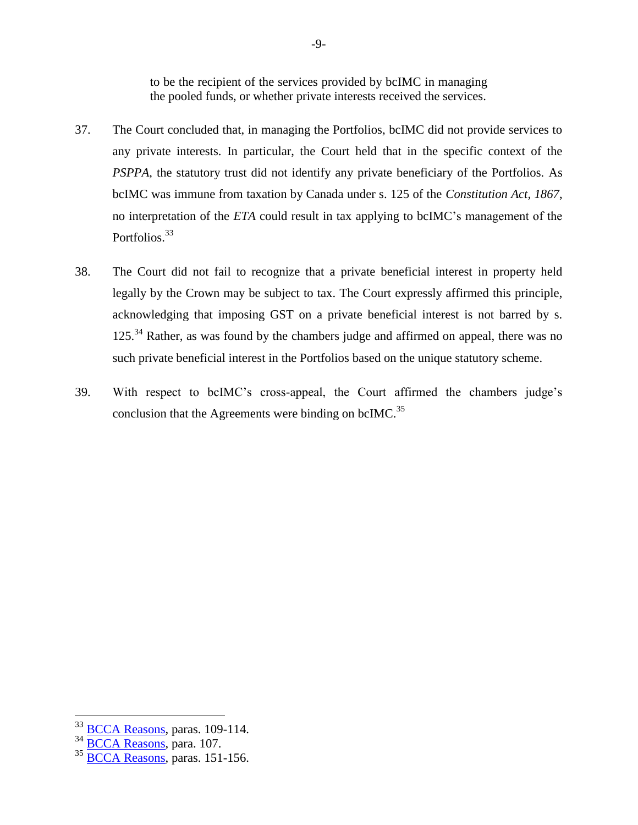to be the recipient of the services provided by bcIMC in managing the pooled funds, or whether private interests received the services.

- 37. The Court concluded that, in managing the Portfolios, bcIMC did not provide services to any private interests. In particular, the Court held that in the specific context of the *PSPPA*, the statutory trust did not identify any private beneficiary of the Portfolios. As bcIMC was immune from taxation by Canada under s. 125 of the *Constitution Act, 1867*, no interpretation of the *ETA* could result in tax applying to bcIMC's management of the Portfolios.<sup>33</sup>
- 38. The Court did not fail to recognize that a private beneficial interest in property held legally by the Crown may be subject to tax. The Court expressly affirmed this principle, acknowledging that imposing GST on a private beneficial interest is not barred by s. 125.<sup>34</sup> Rather, as was found by the chambers judge and affirmed on appeal, there was no such private beneficial interest in the Portfolios based on the unique statutory scheme.
- 39. With respect to bcIMC's cross-appeal, the Court affirmed the chambers judge's conclusion that the Agreements were binding on bcIMC.<sup>35</sup>

<sup>33</sup> [BCCA Reasons,](http://canlii.ca/t/hq7sr) paras. 109-114.

<sup>34</sup> [BCCA Reasons,](http://canlii.ca/t/hq7sr) para. 107.

 $35$  [BCCA Reasons,](http://canlii.ca/t/hq7sr) paras. 151-156.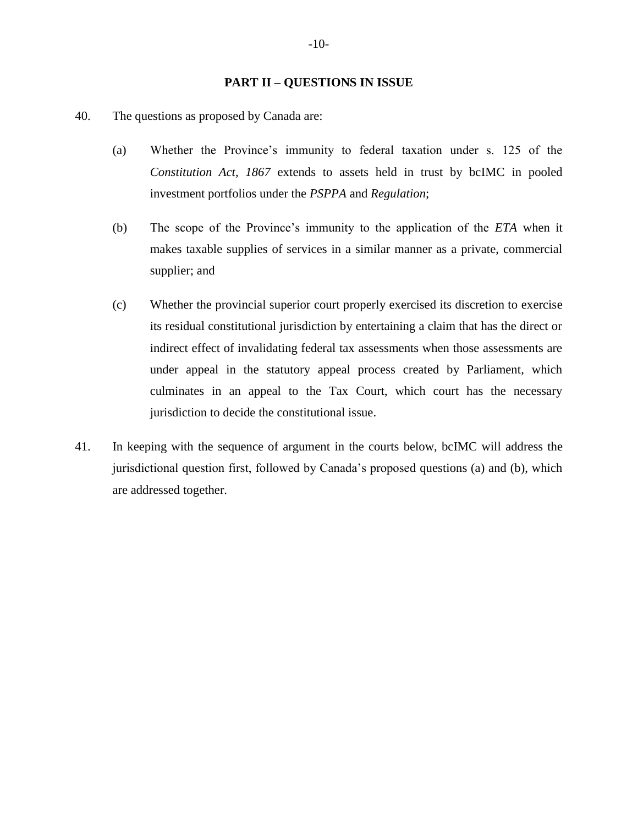#### **PART II – QUESTIONS IN ISSUE**

<span id="page-13-0"></span>40. The questions as proposed by Canada are:

- (a) Whether the Province's immunity to federal taxation under s. 125 of the *Constitution Act, 1867* extends to assets held in trust by bcIMC in pooled investment portfolios under the *PSPPA* and *Regulation*;
- (b) The scope of the Province's immunity to the application of the *ETA* when it makes taxable supplies of services in a similar manner as a private, commercial supplier; and
- (c) Whether the provincial superior court properly exercised its discretion to exercise its residual constitutional jurisdiction by entertaining a claim that has the direct or indirect effect of invalidating federal tax assessments when those assessments are under appeal in the statutory appeal process created by Parliament, which culminates in an appeal to the Tax Court, which court has the necessary jurisdiction to decide the constitutional issue.
- 41. In keeping with the sequence of argument in the courts below, bcIMC will address the jurisdictional question first, followed by Canada's proposed questions (a) and (b), which are addressed together.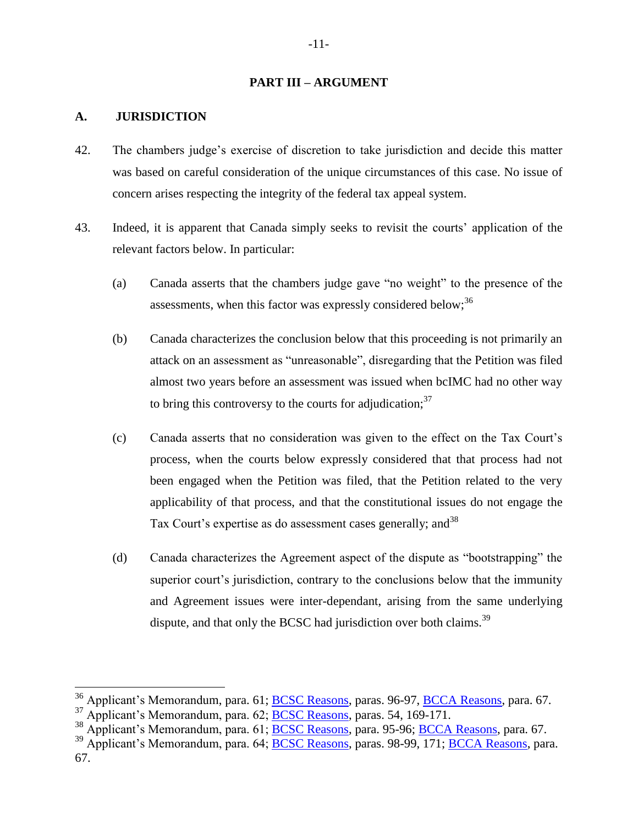#### **PART III – ARGUMENT**

#### <span id="page-14-1"></span><span id="page-14-0"></span>**A. JURISDICTION**

- 42. The chambers judge's exercise of discretion to take jurisdiction and decide this matter was based on careful consideration of the unique circumstances of this case. No issue of concern arises respecting the integrity of the federal tax appeal system.
- 43. Indeed, it is apparent that Canada simply seeks to revisit the courts' application of the relevant factors below. In particular:
	- (a) Canada asserts that the chambers judge gave "no weight" to the presence of the assessments, when this factor was expressly considered below;  $36$
	- (b) Canada characterizes the conclusion below that this proceeding is not primarily an attack on an assessment as "unreasonable", disregarding that the Petition was filed almost two years before an assessment was issued when bcIMC had no other way to bring this controversy to the courts for adjudication;  $37$
	- (c) Canada asserts that no consideration was given to the effect on the Tax Court's process, when the courts below expressly considered that that process had not been engaged when the Petition was filed, that the Petition related to the very applicability of that process, and that the constitutional issues do not engage the Tax Court's expertise as do assessment cases generally; and<sup>38</sup>
	- (d) Canada characterizes the Agreement aspect of the dispute as "bootstrapping" the superior court's jurisdiction, contrary to the conclusions below that the immunity and Agreement issues were inter-dependant, arising from the same underlying dispute, and that only the BCSC had jurisdiction over both claims.<sup>39</sup>

<sup>&</sup>lt;sup>36</sup> Applicant's Memorandum, para. 61; **BCSC Reasons**, paras. 96-97, **BCCA Reasons**, para. 67.

 $37$  Applicant's Memorandum, para. 62; [BCSC Reasons,](http://canlii.ca/t/gtxj0) paras. 54, 169-171.

<sup>&</sup>lt;sup>38</sup> Applicant's Memorandum, para. 61; **BCSC Reasons**, para. 95-96; **BCCA Reasons**, para. 67.

<sup>&</sup>lt;sup>39</sup> Applicant's Memorandum, para. 64; **BCSC Reasons**, paras. 98-99, 171; **BCCA Reasons**, para. 67.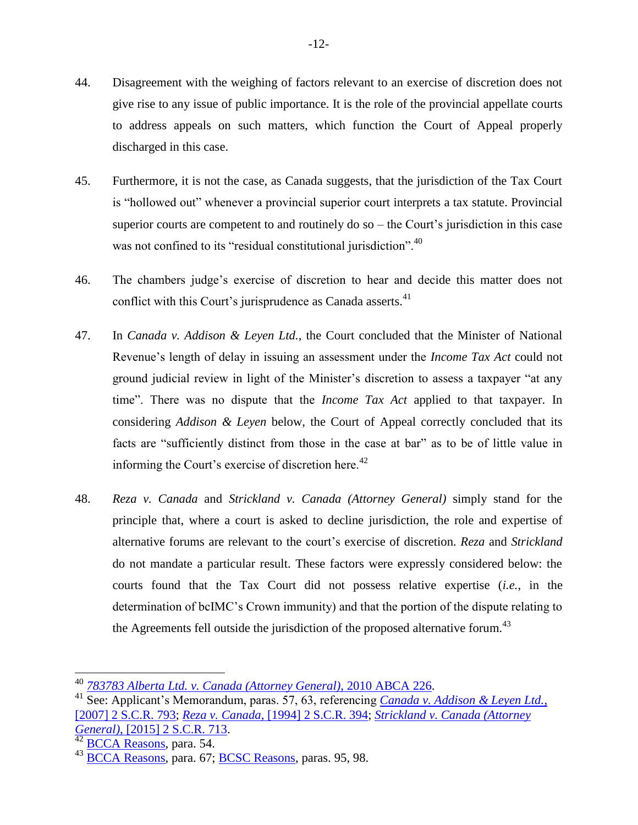- 44. Disagreement with the weighing of factors relevant to an exercise of discretion does not give rise to any issue of public importance. It is the role of the provincial appellate courts to address appeals on such matters, which function the Court of Appeal properly discharged in this case.
- 45. Furthermore, it is not the case, as Canada suggests, that the jurisdiction of the Tax Court is "hollowed out" whenever a provincial superior court interprets a tax statute. Provincial superior courts are competent to and routinely do so – the Court's jurisdiction in this case was not confined to its "residual constitutional jurisdiction".<sup>40</sup>
- 46. The chambers judge's exercise of discretion to hear and decide this matter does not conflict with this Court's jurisprudence as Canada asserts.<sup>41</sup>
- 47. In *Canada v. Addison & Leyen Ltd.*, the Court concluded that the Minister of National Revenue's length of delay in issuing an assessment under the *Income Tax Act* could not ground judicial review in light of the Minister's discretion to assess a taxpayer "at any time". There was no dispute that the *Income Tax Act* applied to that taxpayer. In considering *Addison & Leyen* below, the Court of Appeal correctly concluded that its facts are "sufficiently distinct from those in the case at bar" as to be of little value in informing the Court's exercise of discretion here. $42$
- 48. *Reza v. Canada* and *Strickland v. Canada (Attorney General)* simply stand for the principle that, where a court is asked to decline jurisdiction, the role and expertise of alternative forums are relevant to the court's exercise of discretion. *Reza* and *Strickland* do not mandate a particular result. These factors were expressly considered below: the courts found that the Tax Court did not possess relative expertise (*i.e.*, in the determination of bcIMC's Crown immunity) and that the portion of the dispute relating to the Agreements fell outside the jurisdiction of the proposed alternative forum.<sup>43</sup>

<sup>40</sup> *[783783 Alberta Ltd. v. Canada \(Attorney General\)](http://canlii.ca/t/2blvn)*, 2010 ABCA 226.

<sup>41</sup> [See: Applicant's Memorandum, paras. 57, 63, referencing](http://canlii.ca/t/1s1q4) *Canada v. Addison & Leyen Ltd.*, [\[2007\] 2 S.C.R. 793;](http://canlii.ca/t/1s1q4) *Reza v. Canada*[, \[1994\] 2 S.C.R. 394;](http://canlii.ca/t/1frrm) *[Strickland v. Canada \(Attorney](http://canlii.ca/t/gk0rk)  General)*[, \[2015\] 2 S.C.R. 713.](http://canlii.ca/t/gk0rk)

<sup>&</sup>lt;sup>42</sup> [BCCA Reasons,](http://canlii.ca/t/hq7sr) para. 54.

<sup>43</sup> [BCCA Reasons,](http://canlii.ca/t/hq7sr) para. 67; [BCSC Reasons,](http://canlii.ca/t/gtxj0) paras. 95, 98.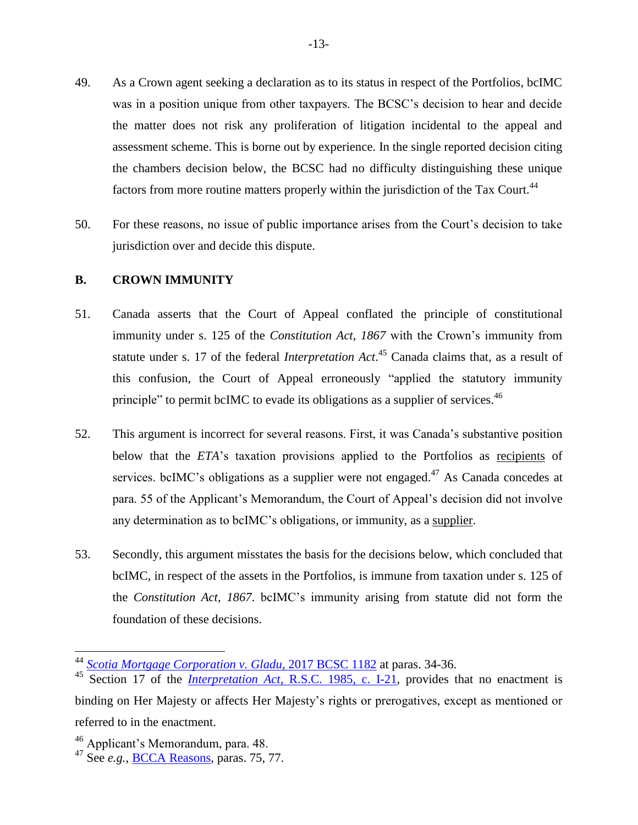- 49. As a Crown agent seeking a declaration as to its status in respect of the Portfolios, bcIMC was in a position unique from other taxpayers. The BCSC's decision to hear and decide the matter does not risk any proliferation of litigation incidental to the appeal and assessment scheme. This is borne out by experience. In the single reported decision citing the chambers decision below, the BCSC had no difficulty distinguishing these unique factors from more routine matters properly within the jurisdiction of the Tax Court.<sup>44</sup>
- 50. For these reasons, no issue of public importance arises from the Court's decision to take jurisdiction over and decide this dispute.

#### <span id="page-16-0"></span>**B. CROWN IMMUNITY**

- 51. Canada asserts that the Court of Appeal conflated the principle of constitutional immunity under s. 125 of the *Constitution Act, 1867* with the Crown's immunity from statute under s. 17 of the federal *Interpretation Act*. <sup>45</sup> Canada claims that, as a result of this confusion, the Court of Appeal erroneously "applied the statutory immunity principle" to permit bcIMC to evade its obligations as a supplier of services.<sup>46</sup>
- 52. This argument is incorrect for several reasons. First, it was Canada's substantive position below that the *ETA*'s taxation provisions applied to the Portfolios as recipients of services. bcIMC's obligations as a supplier were not engaged.<sup>47</sup> As Canada concedes at para. 55 of the Applicant's Memorandum, the Court of Appeal's decision did not involve any determination as to bcIMC's obligations, or immunity, as a supplier.
- 53. Secondly, this argument misstates the basis for the decisions below, which concluded that bcIMC, in respect of the assets in the Portfolios, is immune from taxation under s. 125 of the *Constitution Act*, *1867*. bcIMC's immunity arising from statute did not form the foundation of these decisions.

<sup>44</sup> *[Scotia Mortgage Corporation v. Gladu](http://canlii.ca/t/h4rjq)*, 2017 BCSC 1182 at paras. 34-36.

<sup>45</sup> Section 17 of the *Interpretation Act*[, R.S.C. 1985, c. I-21,](http://canlii.ca/t/7vhg) provides that no enactment is binding on Her Majesty or affects Her Majesty's rights or prerogatives, except as mentioned or referred to in the enactment.

<sup>46</sup> Applicant's Memorandum, para. 48.

<sup>47</sup> See *e.g.*, [BCCA Reasons,](http://canlii.ca/t/hq7sr) paras. 75, 77.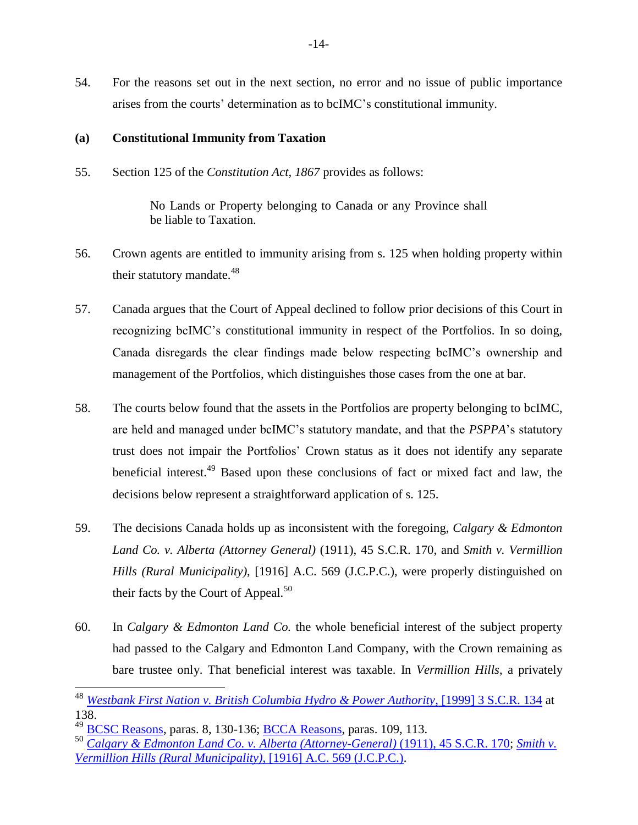54. For the reasons set out in the next section, no error and no issue of public importance arises from the courts' determination as to bcIMC's constitutional immunity.

#### <span id="page-17-0"></span>**(a) Constitutional Immunity from Taxation**

55. Section 125 of the *Constitution Act, 1867* provides as follows:

No Lands or Property belonging to Canada or any Province shall be liable to Taxation.

- 56. Crown agents are entitled to immunity arising from s. 125 when holding property within their statutory mandate. $48$
- 57. Canada argues that the Court of Appeal declined to follow prior decisions of this Court in recognizing bcIMC's constitutional immunity in respect of the Portfolios. In so doing, Canada disregards the clear findings made below respecting bcIMC's ownership and management of the Portfolios, which distinguishes those cases from the one at bar.
- 58. The courts below found that the assets in the Portfolios are property belonging to bcIMC, are held and managed under bcIMC's statutory mandate, and that the *PSPPA*'s statutory trust does not impair the Portfolios' Crown status as it does not identify any separate beneficial interest.<sup>49</sup> Based upon these conclusions of fact or mixed fact and law, the decisions below represent a straightforward application of s. 125.
- 59. The decisions Canada holds up as inconsistent with the foregoing, *Calgary & Edmonton Land Co. v. Alberta (Attorney General)* (1911), 45 S.C.R. 170, and *Smith v. Vermillion Hills (Rural Municipality)*, [1916] A.C. 569 (J.C.P.C.), were properly distinguished on their facts by the Court of Appeal. $50$
- 60. In *Calgary & Edmonton Land Co.* the whole beneficial interest of the subject property had passed to the Calgary and Edmonton Land Company, with the Crown remaining as bare trustee only. That beneficial interest was taxable. In *Vermillion Hills*, a privately

<sup>48</sup> *[Westbank First Nation v. British Columbia Hydro & Power Authority](http://canlii.ca/t/1fqjt)*, [1999] 3 S.C.R. 134 at 138.

<sup>&</sup>lt;sup>49</sup> [BCSC Reasons,](http://canlii.ca/t/gtxj0) paras. 8, 130-136; **BCCA Reasons**, paras. 109, 113.

<sup>50</sup> *[Calgary & Edmonton Land Co. v. Alberta \(Attorney-General\)](http://canlii.ca/t/2f2gn)* (1911), 45 S.C.R. 170; *[Smith v.](http://canlii.ca/t/gw6m0)  Vermillion Hills (Rural Municipality)*[, \[1916\] A.C. 569 \(J.C.P.C.\).](http://canlii.ca/t/gw6m0)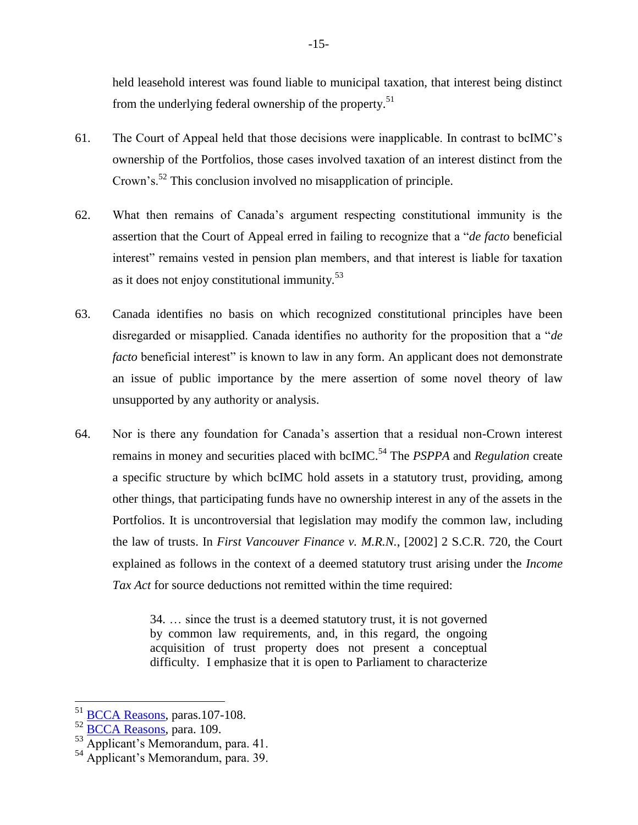held leasehold interest was found liable to municipal taxation, that interest being distinct from the underlying federal ownership of the property.<sup>51</sup>

- 61. The Court of Appeal held that those decisions were inapplicable. In contrast to bcIMC's ownership of the Portfolios, those cases involved taxation of an interest distinct from the Crown's.<sup>52</sup> This conclusion involved no misapplication of principle.
- 62. What then remains of Canada's argument respecting constitutional immunity is the assertion that the Court of Appeal erred in failing to recognize that a "*de facto* beneficial interest" remains vested in pension plan members, and that interest is liable for taxation as it does not enjoy constitutional immunity. $53$
- 63. Canada identifies no basis on which recognized constitutional principles have been disregarded or misapplied. Canada identifies no authority for the proposition that a "*de facto* beneficial interest" is known to law in any form. An applicant does not demonstrate an issue of public importance by the mere assertion of some novel theory of law unsupported by any authority or analysis.
- 64. Nor is there any foundation for Canada's assertion that a residual non-Crown interest remains in money and securities placed with bcIMC.<sup>54</sup> The *PSPPA* and *Regulation* create a specific structure by which bcIMC hold assets in a statutory trust, providing, among other things, that participating funds have no ownership interest in any of the assets in the Portfolios. It is uncontroversial that legislation may modify the common law, including the law of trusts. In *First Vancouver Finance v. M.R.N.*, [2002] 2 S.C.R. 720, the Court explained as follows in the context of a deemed statutory trust arising under the *Income Tax Act* for source deductions not remitted within the time required:

34. … since the trust is a deemed statutory trust, it is not governed by common law requirements, and, in this regard, the ongoing acquisition of trust property does not present a conceptual difficulty. I emphasize that it is open to Parliament to characterize

<sup>&</sup>lt;sup>51</sup> [BCCA Reasons,](http://canlii.ca/t/hq7sr) paras.107-108.

<sup>52</sup> [BCCA Reasons,](http://canlii.ca/t/hq7sr) para. 109.

<sup>&</sup>lt;sup>53</sup> Applicant's Memorandum, para. 41.

<sup>54</sup> Applicant's Memorandum, para. 39.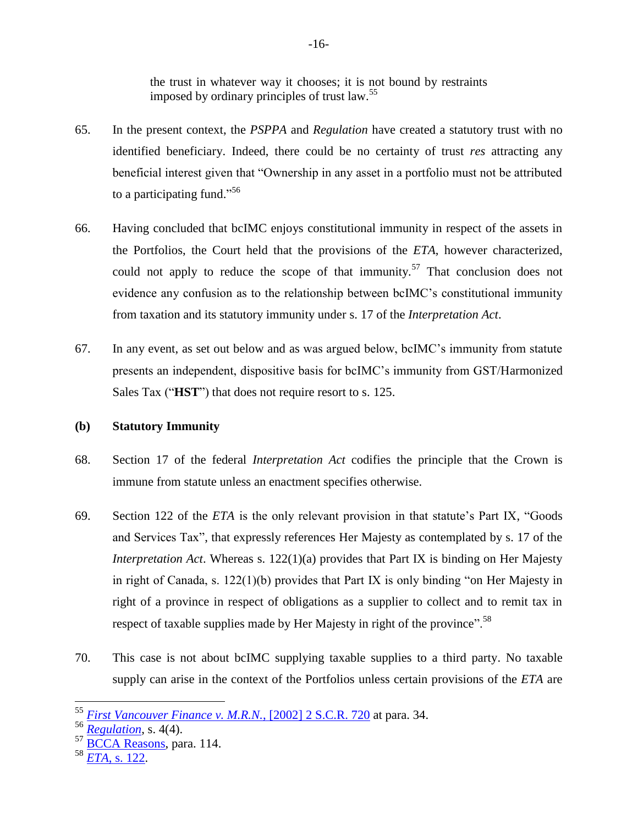the trust in whatever way it chooses; it is not bound by restraints imposed by ordinary principles of trust law.<sup>55</sup>

- 65. In the present context, the *PSPPA* and *Regulation* have created a statutory trust with no identified beneficiary. Indeed, there could be no certainty of trust *res* attracting any beneficial interest given that "Ownership in any asset in a portfolio must not be attributed to a participating fund."<sup>56</sup>
- 66. Having concluded that bcIMC enjoys constitutional immunity in respect of the assets in the Portfolios, the Court held that the provisions of the *ETA*, however characterized, could not apply to reduce the scope of that immunity.<sup>57</sup> That conclusion does not evidence any confusion as to the relationship between bcIMC's constitutional immunity from taxation and its statutory immunity under s. 17 of the *Interpretation Act*.
- 67. In any event, as set out below and as was argued below, bcIMC's immunity from statute presents an independent, dispositive basis for bcIMC's immunity from GST/Harmonized Sales Tax ("**HST**") that does not require resort to s. 125.

## <span id="page-19-0"></span>**(b) Statutory Immunity**

- 68. Section 17 of the federal *Interpretation Act* codifies the principle that the Crown is immune from statute unless an enactment specifies otherwise.
- 69. Section 122 of the *ETA* is the only relevant provision in that statute's Part IX, "Goods and Services Tax", that expressly references Her Majesty as contemplated by s. 17 of the *Interpretation Act*. Whereas s. 122(1)(a) provides that Part IX is binding on Her Majesty in right of Canada, s.  $122(1)(b)$  provides that Part IX is only binding "on Her Majesty in right of a province in respect of obligations as a supplier to collect and to remit tax in respect of taxable supplies made by Her Majesty in right of the province".<sup>58</sup>
- 70. This case is not about bcIMC supplying taxable supplies to a third party. No taxable supply can arise in the context of the Portfolios unless certain provisions of the *ETA* are

<sup>58</sup> *ETA*[, s. 122.](http://laws-lois.justice.gc.ca/eng/acts/E-15/)

<sup>55</sup> *[First Vancouver Finance v. M.R.N.](http://canlii.ca/t/51sn)*, [2002] 2 S.C.R. 720 at para. 34.

<sup>56</sup> *[Regulation](http://canlii.ca/t/85qw)*, s. 4(4).

<sup>&</sup>lt;sup>57</sup> [BCCA Reasons,](http://canlii.ca/t/hq7sr) para. 114.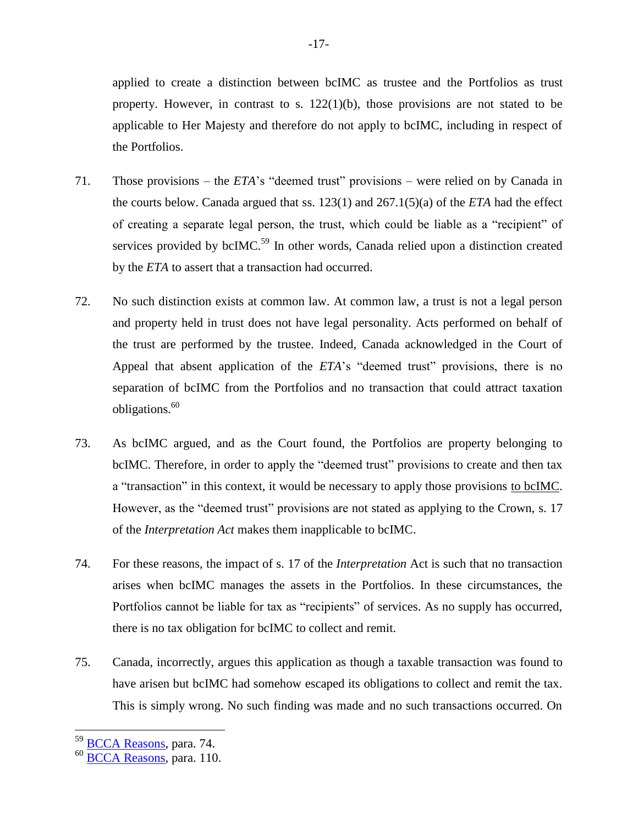applied to create a distinction between bcIMC as trustee and the Portfolios as trust property. However, in contrast to s.  $122(1)(b)$ , those provisions are not stated to be applicable to Her Majesty and therefore do not apply to bcIMC, including in respect of the Portfolios.

- 71. Those provisions the *ETA*'s "deemed trust" provisions were relied on by Canada in the courts below. Canada argued that ss. 123(1) and 267.1(5)(a) of the *ETA* had the effect of creating a separate legal person, the trust, which could be liable as a "recipient" of services provided by bcIMC.<sup>59</sup> In other words, Canada relied upon a distinction created by the *ETA* to assert that a transaction had occurred.
- 72. No such distinction exists at common law. At common law, a trust is not a legal person and property held in trust does not have legal personality. Acts performed on behalf of the trust are performed by the trustee. Indeed, Canada acknowledged in the Court of Appeal that absent application of the *ETA*'s "deemed trust" provisions, there is no separation of bcIMC from the Portfolios and no transaction that could attract taxation obligations. $60$
- 73. As bcIMC argued, and as the Court found, the Portfolios are property belonging to bcIMC. Therefore, in order to apply the "deemed trust" provisions to create and then tax a "transaction" in this context, it would be necessary to apply those provisions to bcIMC. However, as the "deemed trust" provisions are not stated as applying to the Crown, s. 17 of the *Interpretation Act* makes them inapplicable to bcIMC.
- 74. For these reasons, the impact of s. 17 of the *Interpretation* Act is such that no transaction arises when bcIMC manages the assets in the Portfolios. In these circumstances, the Portfolios cannot be liable for tax as "recipients" of services. As no supply has occurred, there is no tax obligation for bcIMC to collect and remit.
- 75. Canada, incorrectly, argues this application as though a taxable transaction was found to have arisen but bcIMC had somehow escaped its obligations to collect and remit the tax. This is simply wrong. No such finding was made and no such transactions occurred. On

<sup>&</sup>lt;sup>59</sup> [BCCA Reasons,](http://canlii.ca/t/hq7sr) para. 74.

<sup>60</sup> [BCCA Reasons,](http://canlii.ca/t/hq7sr) para. 110.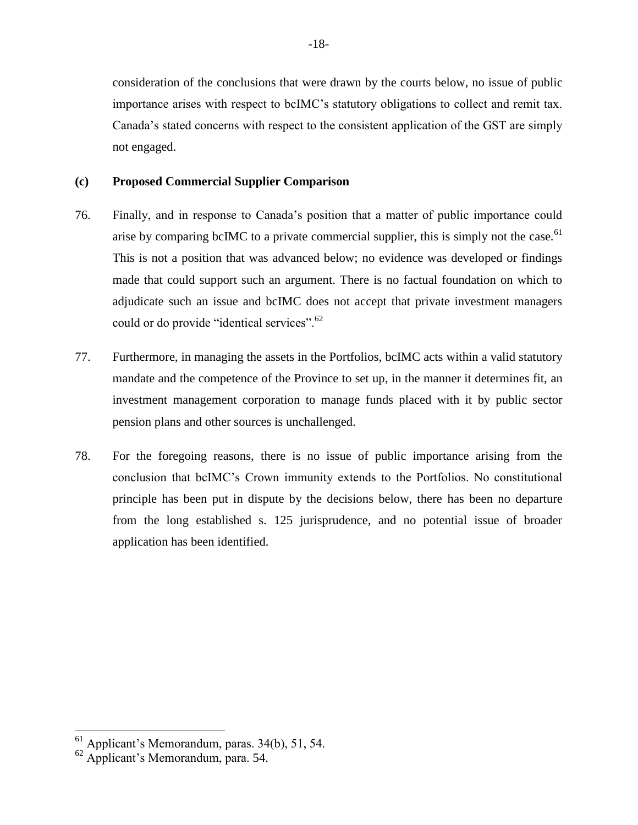consideration of the conclusions that were drawn by the courts below, no issue of public importance arises with respect to bcIMC's statutory obligations to collect and remit tax. Canada's stated concerns with respect to the consistent application of the GST are simply not engaged.

#### <span id="page-21-0"></span>**(c) Proposed Commercial Supplier Comparison**

- 76. Finally, and in response to Canada's position that a matter of public importance could arise by comparing bcIMC to a private commercial supplier, this is simply not the case.<sup>61</sup> This is not a position that was advanced below; no evidence was developed or findings made that could support such an argument. There is no factual foundation on which to adjudicate such an issue and bcIMC does not accept that private investment managers could or do provide "identical services".<sup>62</sup>
- 77. Furthermore, in managing the assets in the Portfolios, bcIMC acts within a valid statutory mandate and the competence of the Province to set up, in the manner it determines fit, an investment management corporation to manage funds placed with it by public sector pension plans and other sources is unchallenged.
- 78. For the foregoing reasons, there is no issue of public importance arising from the conclusion that bcIMC's Crown immunity extends to the Portfolios. No constitutional principle has been put in dispute by the decisions below, there has been no departure from the long established s. 125 jurisprudence, and no potential issue of broader application has been identified.

 $<sup>61</sup>$  Applicant's Memorandum, paras. 34(b), 51, 54.</sup>

 $62$  Applicant's Memorandum, para. 54.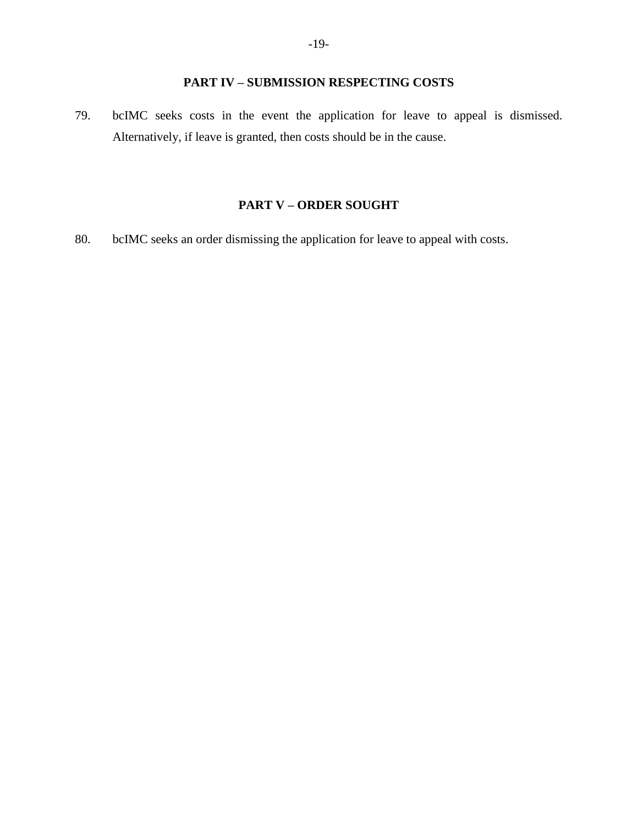# **PART IV – SUBMISSION RESPECTING COSTS**

<span id="page-22-0"></span>79. bcIMC seeks costs in the event the application for leave to appeal is dismissed. Alternatively, if leave is granted, then costs should be in the cause.

### **PART V – ORDER SOUGHT**

<span id="page-22-1"></span>80. bcIMC seeks an order dismissing the application for leave to appeal with costs.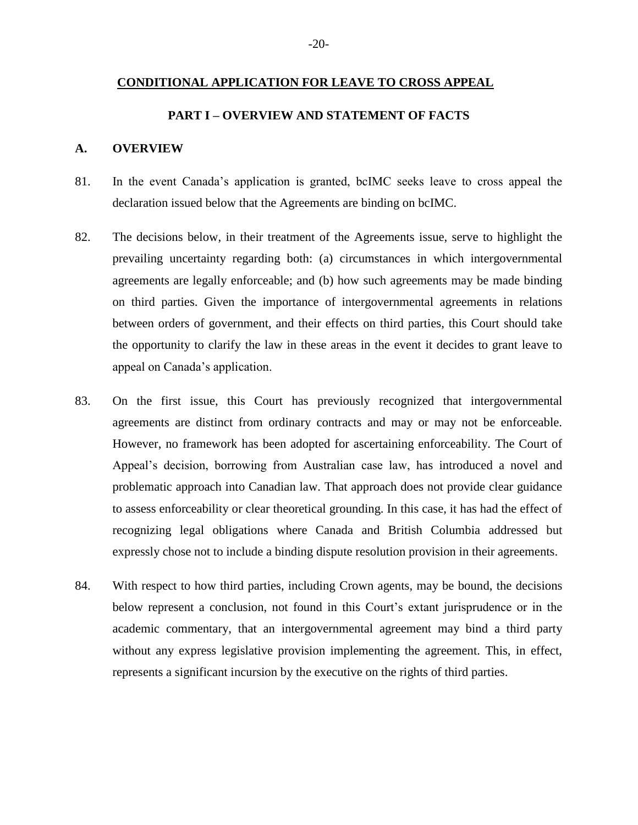#### <span id="page-23-0"></span>**CONDITIONAL APPLICATION FOR LEAVE TO CROSS APPEAL**

#### **PART I – OVERVIEW AND STATEMENT OF FACTS**

#### <span id="page-23-2"></span><span id="page-23-1"></span>**A. OVERVIEW**

- 81. In the event Canada's application is granted, bcIMC seeks leave to cross appeal the declaration issued below that the Agreements are binding on bcIMC.
- 82. The decisions below, in their treatment of the Agreements issue, serve to highlight the prevailing uncertainty regarding both: (a) circumstances in which intergovernmental agreements are legally enforceable; and (b) how such agreements may be made binding on third parties. Given the importance of intergovernmental agreements in relations between orders of government, and their effects on third parties, this Court should take the opportunity to clarify the law in these areas in the event it decides to grant leave to appeal on Canada's application.
- 83. On the first issue, this Court has previously recognized that intergovernmental agreements are distinct from ordinary contracts and may or may not be enforceable. However, no framework has been adopted for ascertaining enforceability. The Court of Appeal's decision, borrowing from Australian case law, has introduced a novel and problematic approach into Canadian law. That approach does not provide clear guidance to assess enforceability or clear theoretical grounding. In this case, it has had the effect of recognizing legal obligations where Canada and British Columbia addressed but expressly chose not to include a binding dispute resolution provision in their agreements.
- 84. With respect to how third parties, including Crown agents, may be bound, the decisions below represent a conclusion, not found in this Court's extant jurisprudence or in the academic commentary, that an intergovernmental agreement may bind a third party without any express legislative provision implementing the agreement. This, in effect, represents a significant incursion by the executive on the rights of third parties.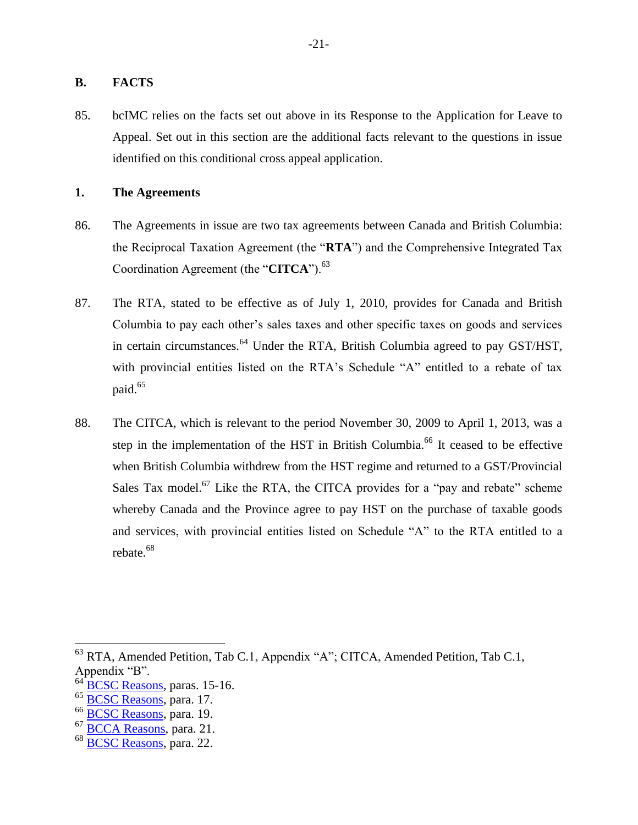#### <span id="page-24-0"></span>**B. FACTS**

85. bcIMC relies on the facts set out above in its Response to the Application for Leave to Appeal. Set out in this section are the additional facts relevant to the questions in issue identified on this conditional cross appeal application.

#### <span id="page-24-1"></span>**1. The Agreements**

- 86. The Agreements in issue are two tax agreements between Canada and British Columbia: the Reciprocal Taxation Agreement (the "**RTA**") and the Comprehensive Integrated Tax Coordination Agreement (the "**CITCA**").<sup>63</sup>
- 87. The RTA, stated to be effective as of July 1, 2010, provides for Canada and British Columbia to pay each other's sales taxes and other specific taxes on goods and services in certain circumstances.<sup>64</sup> Under the RTA, British Columbia agreed to pay GST/HST, with provincial entities listed on the RTA's Schedule "A" entitled to a rebate of tax paid.<sup>65</sup>
- 88. The CITCA, which is relevant to the period November 30, 2009 to April 1, 2013, was a step in the implementation of the HST in British Columbia.<sup>66</sup> It ceased to be effective when British Columbia withdrew from the HST regime and returned to a GST/Provincial Sales Tax model.<sup>67</sup> Like the RTA, the CITCA provides for a "pay and rebate" scheme whereby Canada and the Province agree to pay HST on the purchase of taxable goods and services, with provincial entities listed on Schedule "A" to the RTA entitled to a rebate.<sup>68</sup>

 $^{63}$  RTA, Amended Petition, Tab C.1, Appendix "A"; CITCA, Amended Petition, Tab C.1, Appendix "B".

[BCSC Reasons,](http://canlii.ca/t/gtxj0) paras. 15-16.

<sup>&</sup>lt;sup>65</sup> [BCSC Reasons,](http://canlii.ca/t/gtxj0) para. 17.

<sup>&</sup>lt;sup>66</sup> [BCSC Reasons,](http://canlii.ca/t/gtxj0) para. 19.

<sup>67</sup> [BCCA Reasons,](http://canlii.ca/t/hq7sr) para. 21.

<sup>&</sup>lt;sup>68</sup> [BCSC Reasons,](http://canlii.ca/t/gtxj0) para. 22.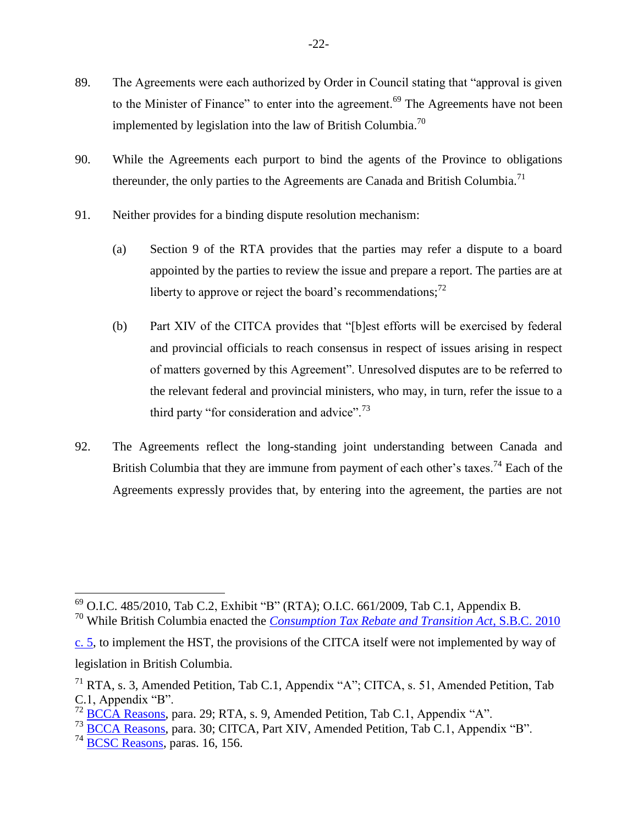- 89. The Agreements were each authorized by Order in Council stating that "approval is given to the Minister of Finance" to enter into the agreement.<sup>69</sup> The Agreements have not been implemented by legislation into the law of British Columbia.<sup>70</sup>
- 90. While the Agreements each purport to bind the agents of the Province to obligations thereunder, the only parties to the Agreements are Canada and British Columbia.<sup>71</sup>
- 91. Neither provides for a binding dispute resolution mechanism:
	- (a) Section 9 of the RTA provides that the parties may refer a dispute to a board appointed by the parties to review the issue and prepare a report. The parties are at liberty to approve or reject the board's recommendations;<sup>72</sup>
	- (b) Part XIV of the CITCA provides that "[b]est efforts will be exercised by federal and provincial officials to reach consensus in respect of issues arising in respect of matters governed by this Agreement". Unresolved disputes are to be referred to the relevant federal and provincial ministers, who may, in turn, refer the issue to a third party "for consideration and advice".<sup>73</sup>
- 92. The Agreements reflect the long-standing joint understanding between Canada and British Columbia that they are immune from payment of each other's taxes.<sup>74</sup> Each of the Agreements expressly provides that, by entering into the agreement, the parties are not

<sup>73</sup> [BCCA Reasons,](http://canlii.ca/t/hq7sr) para. 30; CITCA, Part XIV, Amended Petition, Tab C.1, Appendix "B".

 $^{69}$  O.I.C. 485/2010, Tab C.2, Exhibit "B" (RTA); O.I.C. 661/2009, Tab C.1, Appendix B.

<sup>70</sup> While British Columbia enacted the *[Consumption Tax Rebate and Transition Act](http://canlii.ca/t/8n0c)*, S.B.C. 2010

[c. 5,](http://canlii.ca/t/8n0c) to implement the HST, the provisions of the CITCA itself were not implemented by way of legislation in British Columbia.

<sup>71</sup> RTA, s. 3, Amended Petition, Tab C.1, Appendix "A"; CITCA, s. 51, Amended Petition, Tab C.1, Appendix "B".

 $72$  [BCCA Reasons,](http://canlii.ca/t/hq7sr) para. 29; RTA, s. 9, Amended Petition, Tab C.1, Appendix "A".

 $74$  [BCSC Reasons,](http://canlii.ca/t/gtxj0) paras. 16, 156.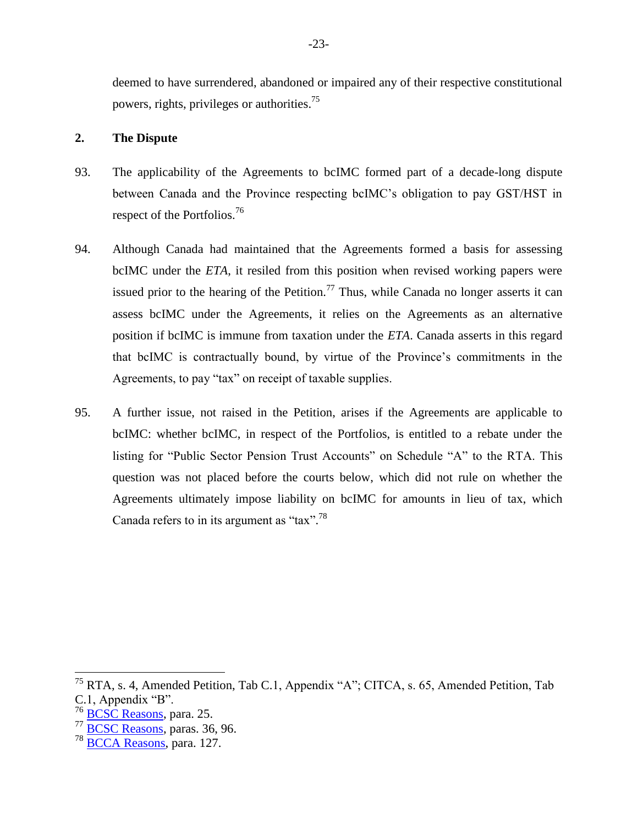deemed to have surrendered, abandoned or impaired any of their respective constitutional powers, rights, privileges or authorities.<sup>75</sup>

#### <span id="page-26-0"></span>**2. The Dispute**

- 93. The applicability of the Agreements to bcIMC formed part of a decade-long dispute between Canada and the Province respecting bcIMC's obligation to pay GST/HST in respect of the Portfolios.<sup>76</sup>
- 94. Although Canada had maintained that the Agreements formed a basis for assessing bcIMC under the *ETA*, it resiled from this position when revised working papers were issued prior to the hearing of the Petition.<sup>77</sup> Thus, while Canada no longer asserts it can assess bcIMC under the Agreements, it relies on the Agreements as an alternative position if bcIMC is immune from taxation under the *ETA*. Canada asserts in this regard that bcIMC is contractually bound, by virtue of the Province's commitments in the Agreements, to pay "tax" on receipt of taxable supplies.
- 95. A further issue, not raised in the Petition, arises if the Agreements are applicable to bcIMC: whether bcIMC, in respect of the Portfolios, is entitled to a rebate under the listing for "Public Sector Pension Trust Accounts" on Schedule "A" to the RTA. This question was not placed before the courts below, which did not rule on whether the Agreements ultimately impose liability on bcIMC for amounts in lieu of tax, which Canada refers to in its argument as "tax".<sup>78</sup>

<sup>&</sup>lt;sup>75</sup> RTA, s. 4, Amended Petition, Tab C.1, Appendix "A"; CITCA, s. 65, Amended Petition, Tab C.1, Appendix "B".

<sup>&</sup>lt;sup>76</sup> [BCSC Reasons,](http://canlii.ca/t/gtxj0) para. 25.

<sup>77</sup> [BCSC Reasons,](http://canlii.ca/t/gtxj0) paras. 36, 96.

<sup>&</sup>lt;sup>78</sup> [BCCA Reasons,](http://canlii.ca/t/hq7sr) para. 127.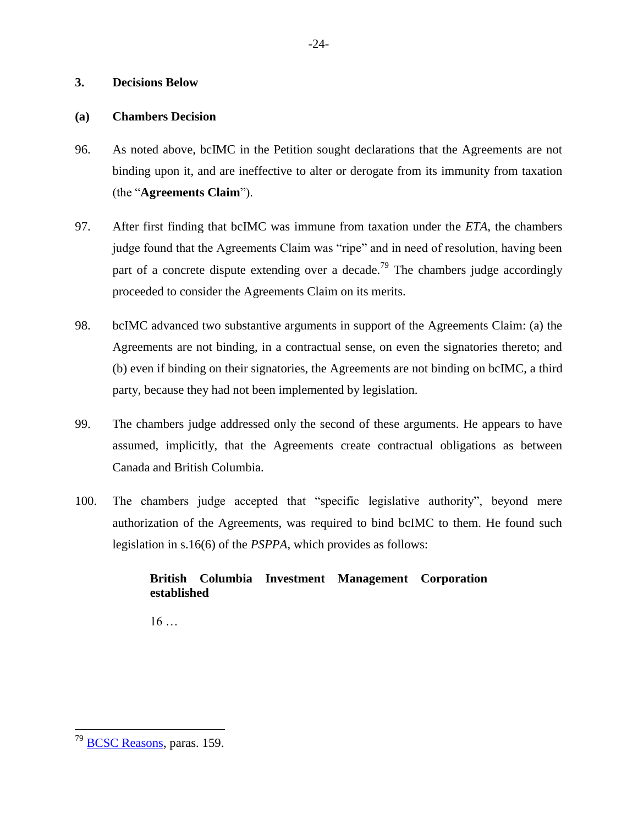#### <span id="page-27-0"></span>**3. Decisions Below**

#### <span id="page-27-1"></span>**(a) Chambers Decision**

- 96. As noted above, bcIMC in the Petition sought declarations that the Agreements are not binding upon it, and are ineffective to alter or derogate from its immunity from taxation (the "**Agreements Claim**").
- 97. After first finding that bcIMC was immune from taxation under the *ETA*, the chambers judge found that the Agreements Claim was "ripe" and in need of resolution, having been part of a concrete dispute extending over a decade.<sup>79</sup> The chambers judge accordingly proceeded to consider the Agreements Claim on its merits.
- 98. bcIMC advanced two substantive arguments in support of the Agreements Claim: (a) the Agreements are not binding, in a contractual sense, on even the signatories thereto; and (b) even if binding on their signatories, the Agreements are not binding on bcIMC, a third party, because they had not been implemented by legislation.
- 99. The chambers judge addressed only the second of these arguments. He appears to have assumed, implicitly, that the Agreements create contractual obligations as between Canada and British Columbia.
- 100. The chambers judge accepted that "specific legislative authority", beyond mere authorization of the Agreements, was required to bind bcIMC to them. He found such legislation in s.16(6) of the *PSPPA*, which provides as follows:

## **British Columbia Investment Management Corporation established**

 $16...$ 

<sup>&</sup>lt;sup>79</sup> [BCSC Reasons,](http://canlii.ca/t/gtxj0) paras. 159.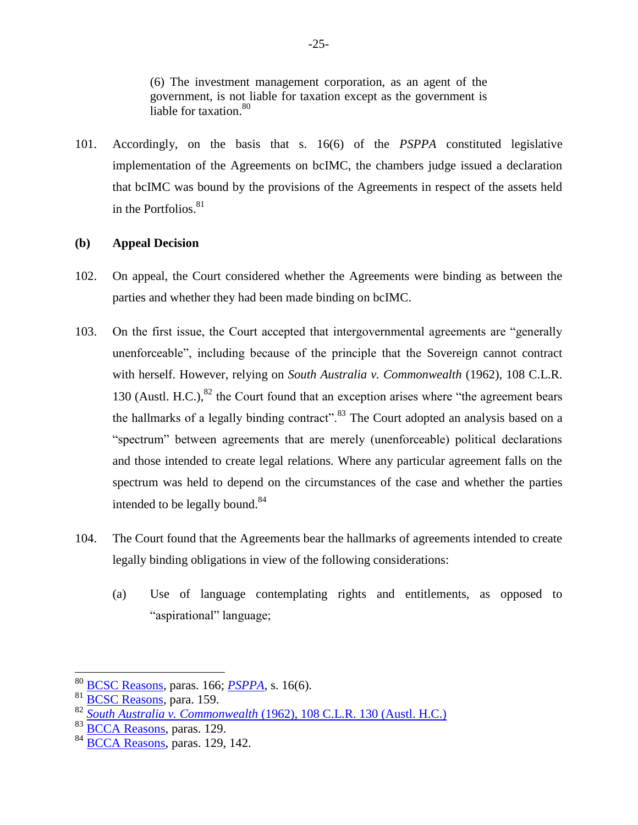(6) The investment management corporation, as an agent of the government, is not liable for taxation except as the government is liable for taxation.<sup>80</sup>

101. Accordingly, on the basis that s. 16(6) of the *PSPPA* constituted legislative implementation of the Agreements on bcIMC, the chambers judge issued a declaration that bcIMC was bound by the provisions of the Agreements in respect of the assets held in the Portfolios. $81$ 

#### <span id="page-28-0"></span>**(b) Appeal Decision**

- 102. On appeal, the Court considered whether the Agreements were binding as between the parties and whether they had been made binding on bcIMC.
- 103. On the first issue, the Court accepted that intergovernmental agreements are "generally unenforceable", including because of the principle that the Sovereign cannot contract with herself. However, relying on *South Australia v. Commonwealth* (1962), 108 C.L.R. 130 (Austl. H.C.), $82$  the Court found that an exception arises where "the agreement bears the hallmarks of a legally binding contract".<sup>83</sup> The Court adopted an analysis based on a "spectrum" between agreements that are merely (unenforceable) political declarations and those intended to create legal relations. Where any particular agreement falls on the spectrum was held to depend on the circumstances of the case and whether the parties intended to be legally bound. $84$
- 104. The Court found that the Agreements bear the hallmarks of agreements intended to create legally binding obligations in view of the following considerations:
	- (a) Use of language contemplating rights and entitlements, as opposed to "aspirational" language;

<sup>80</sup> [BCSC Reasons,](http://canlii.ca/t/gtxj0) paras. 166; *[PSPPA](http://canlii.ca/t/84k3)*, s. 16(6).

 $rac{81}{82}$   $rac{\text{BCSC Reasons}}{\text{South Australia} \times \text{Common}}$ 

<sup>82</sup> *South Australia v. Commonwealth* [\(1962\), 108 C.L.R. 130 \(Austl. H.C.\)](https://www.austlii.edu.au/cgi-bin/viewdoc/au/cases/cth/HCA/1962/10.html)

<sup>&</sup>lt;sup>83</sup> [BCCA Reasons,](http://canlii.ca/t/hq7sr) paras. 129.

 $84\overline{BCCA}$  Reasons, paras. 129, 142.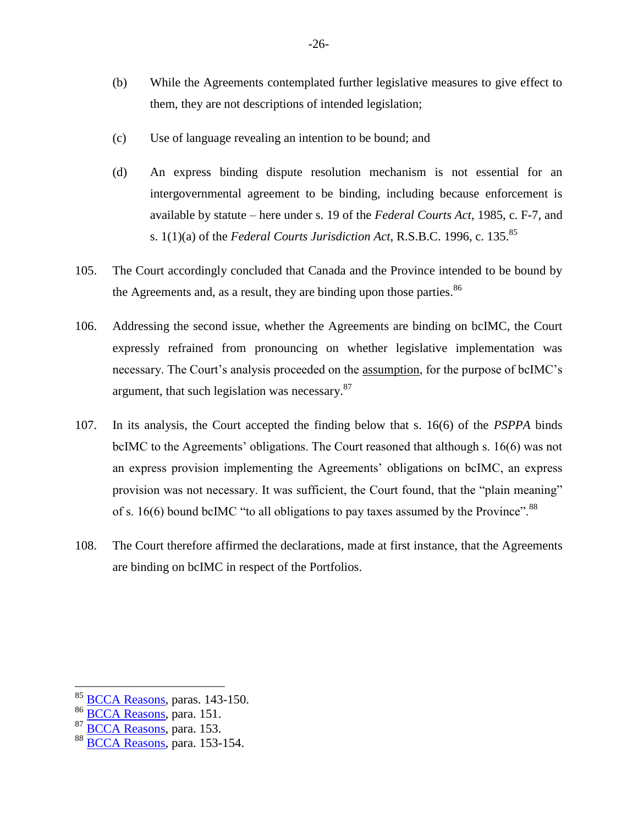- (b) While the Agreements contemplated further legislative measures to give effect to them, they are not descriptions of intended legislation;
- (c) Use of language revealing an intention to be bound; and
- (d) An express binding dispute resolution mechanism is not essential for an intergovernmental agreement to be binding, including because enforcement is available by statute – here under s. 19 of the *Federal Courts Act*, 1985, c. F-7, and s. 1(1)(a) of the *Federal Courts Jurisdiction Act,* R.S.B.C. 1996, c. 135.<sup>85</sup>
- 105. The Court accordingly concluded that Canada and the Province intended to be bound by the Agreements and, as a result, they are binding upon those parties.<sup>86</sup>
- 106. Addressing the second issue, whether the Agreements are binding on bcIMC, the Court expressly refrained from pronouncing on whether legislative implementation was necessary. The Court's analysis proceeded on the assumption, for the purpose of bcIMC's argument, that such legislation was necessary.<sup>87</sup>
- 107. In its analysis, the Court accepted the finding below that s. 16(6) of the *PSPPA* binds bcIMC to the Agreements' obligations. The Court reasoned that although s. 16(6) was not an express provision implementing the Agreements' obligations on bcIMC, an express provision was not necessary. It was sufficient, the Court found, that the "plain meaning" of s. 16(6) bound bcIMC "to all obligations to pay taxes assumed by the Province".  $88$
- <span id="page-29-0"></span>108. The Court therefore affirmed the declarations, made at first instance, that the Agreements are binding on bcIMC in respect of the Portfolios.

<sup>&</sup>lt;sup>85</sup> [BCCA Reasons,](http://canlii.ca/t/hq7sr) paras. 143-150.

 $\frac{86}{87}$  [BCCA Reasons,](http://canlii.ca/t/hq7sr) para. 151.

[BCCA Reasons,](http://canlii.ca/t/hq7sr) para. 153.

 $88\overline{BCCA}$  Reasons, para. 153-154.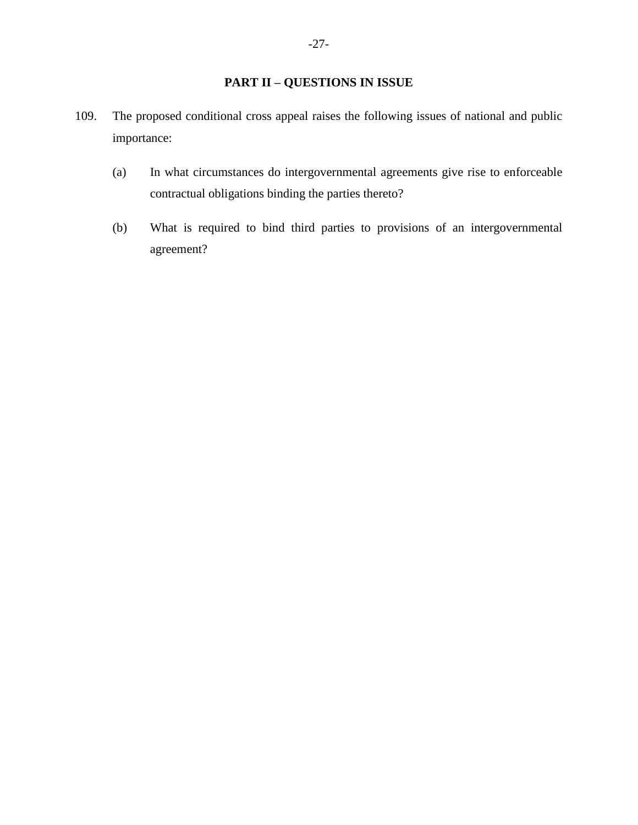## **PART II – QUESTIONS IN ISSUE**

- <span id="page-30-0"></span>109. The proposed conditional cross appeal raises the following issues of national and public importance:
	- (a) In what circumstances do intergovernmental agreements give rise to enforceable contractual obligations binding the parties thereto?
	- (b) What is required to bind third parties to provisions of an intergovernmental agreement?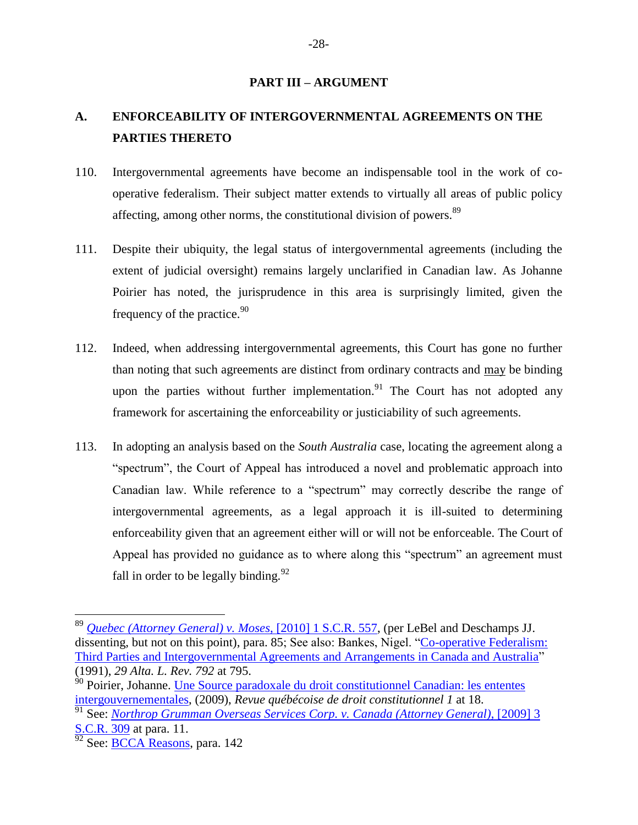#### **PART III – ARGUMENT**

# <span id="page-31-0"></span>**A. ENFORCEABILITY OF INTERGOVERNMENTAL AGREEMENTS ON THE PARTIES THERETO**

- 110. Intergovernmental agreements have become an indispensable tool in the work of cooperative federalism. Their subject matter extends to virtually all areas of public policy affecting, among other norms, the constitutional division of powers.<sup>89</sup>
- 111. Despite their ubiquity, the legal status of intergovernmental agreements (including the extent of judicial oversight) remains largely unclarified in Canadian law. As Johanne Poirier has noted, the jurisprudence in this area is surprisingly limited, given the frequency of the practice. $90$
- 112. Indeed, when addressing intergovernmental agreements, this Court has gone no further than noting that such agreements are distinct from ordinary contracts and may be binding upon the parties without further implementation.<sup>91</sup> The Court has not adopted any framework for ascertaining the enforceability or justiciability of such agreements.
- 113. In adopting an analysis based on the *South Australia* case, locating the agreement along a "spectrum", the Court of Appeal has introduced a novel and problematic approach into Canadian law. While reference to a "spectrum" may correctly describe the range of intergovernmental agreements, as a legal approach it is ill-suited to determining enforceability given that an agreement either will or will not be enforceable. The Court of Appeal has provided no guidance as to where along this "spectrum" an agreement must fall in order to be legally binding.  $92$

<sup>89</sup> *[Quebec \(Attorney General\) v. Moses](http://canlii.ca/t/29pt3)*, [2010] 1 S.C.R. 557, (per LeBel and Deschamps JJ. dissenting, but not on this point), para. 85; See also: Bankes, Nigel. ["Co-operative Federalism:](https://www.albertalawreview.com/index.php/ALR/article/view/1533/1522)  [Third Parties and Intergovernmental Agreements and Arrangements in Canada and Australia"](https://www.albertalawreview.com/index.php/ALR/article/view/1533/1522) (1991), *29 Alta. L. Rev. 792* at 795.

<sup>&</sup>lt;sup>90</sup> Poirier, Johanne. Un<u>e Source paradoxale du droit constitutionnel Canadian: les ententes</u> [intergouvernementales,](https://ssrn.com/abstract=2695808) (2009), *Revue québécoise de droit constitutionnel 1* at 18.

<sup>91</sup> See: *[Northrop Grumman Overseas Services Corp. v.](http://canlii.ca/t/26frh) Canada (Attorney General)*, [2009] 3 [S.C.R. 309](http://canlii.ca/t/26frh) at para. 11.

 $rac{612}{92}$  See: **BCCA Reasons**, para. 142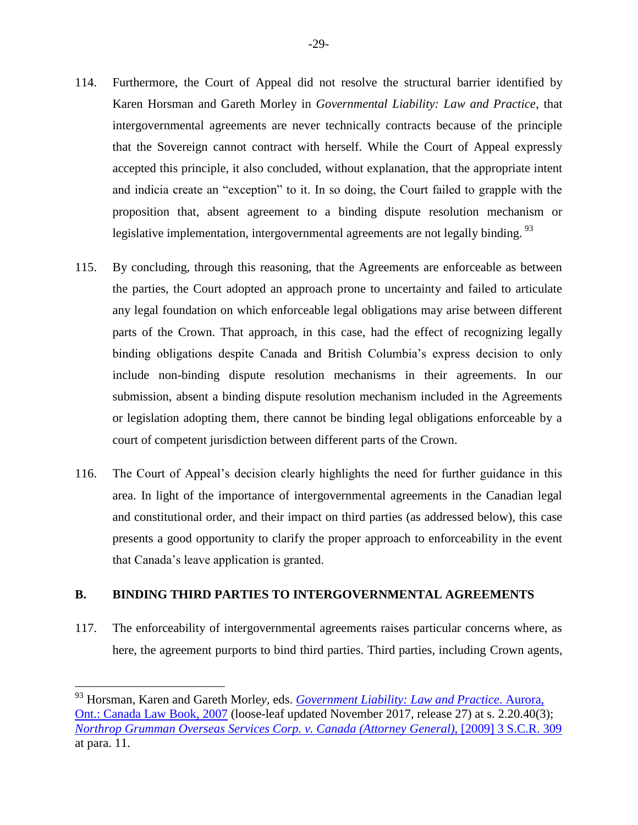- 114. Furthermore, the Court of Appeal did not resolve the structural barrier identified by Karen Horsman and Gareth Morley in *Governmental Liability: Law and Practice*, that intergovernmental agreements are never technically contracts because of the principle that the Sovereign cannot contract with herself. While the Court of Appeal expressly accepted this principle, it also concluded, without explanation, that the appropriate intent and indicia create an "exception" to it. In so doing, the Court failed to grapple with the proposition that, absent agreement to a binding dispute resolution mechanism or legislative implementation, intergovernmental agreements are not legally binding.<sup>93</sup>
- 115. By concluding, through this reasoning, that the Agreements are enforceable as between the parties, the Court adopted an approach prone to uncertainty and failed to articulate any legal foundation on which enforceable legal obligations may arise between different parts of the Crown. That approach, in this case, had the effect of recognizing legally binding obligations despite Canada and British Columbia's express decision to only include non-binding dispute resolution mechanisms in their agreements. In our submission, absent a binding dispute resolution mechanism included in the Agreements or legislation adopting them, there cannot be binding legal obligations enforceable by a court of competent jurisdiction between different parts of the Crown.
- <span id="page-32-0"></span>116. The Court of Appeal's decision clearly highlights the need for further guidance in this area. In light of the importance of intergovernmental agreements in the Canadian legal and constitutional order, and their impact on third parties (as addressed below), this case presents a good opportunity to clarify the proper approach to enforceability in the event that Canada's leave application is granted.

#### **B. BINDING THIRD PARTIES TO INTERGOVERNMENTAL AGREEMENTS**

 $\overline{a}$ 

117. The enforceability of intergovernmental agreements raises particular concerns where, as here, the agreement purports to bind third parties. Third parties, including Crown agents,

<sup>93</sup> Horsman, Karen and Gareth Morle*y,* eds. *[Government Liability: Law and Practice](https://proview.thomsonreuters.com/launchapp/title/CW/EG/HORSMANMORLEYGL_EN/v1)*. Aurora, [Ont.: Canada Law Book, 2007](https://proview.thomsonreuters.com/launchapp/title/CW/EG/HORSMANMORLEYGL_EN/v1) (loose-leaf updated November 2017, release 27) at s. 2.20.40(3); *[Northrop Grumman Overseas Services Corp. v. Canada \(Attorney General\)](http://canlii.ca/t/26frh)*, [2009] 3 S.C.R. 309 at para. 11.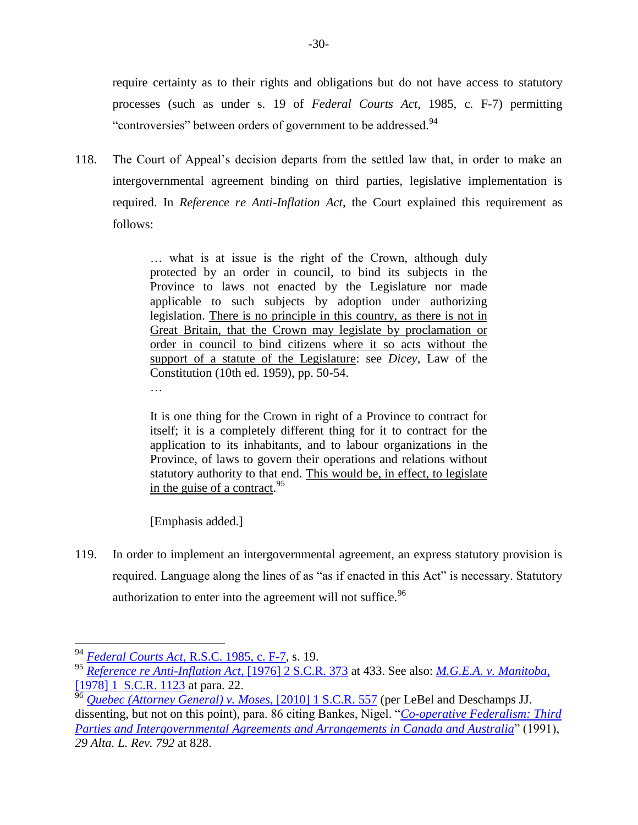require certainty as to their rights and obligations but do not have access to statutory processes (such as under s. 19 of *Federal Courts Act*, 1985, c. F-7) permitting "controversies" between orders of government to be addressed.<sup>94</sup>

118. The Court of Appeal's decision departs from the settled law that, in order to make an intergovernmental agreement binding on third parties, legislative implementation is required. In *Reference re Anti-Inflation Act*, the Court explained this requirement as follows:

> … what is at issue is the right of the Crown, although duly protected by an order in council, to bind its subjects in the Province to laws not enacted by the Legislature nor made applicable to such subjects by adoption under authorizing legislation. There is no principle in this country, as there is not in Great Britain, that the Crown may legislate by proclamation or order in council to bind citizens where it so acts without the support of a statute of the Legislature: see *Dicey*, Law of the Constitution (10th ed. 1959), pp. 50-54. …

> It is one thing for the Crown in right of a Province to contract for itself; it is a completely different thing for it to contract for the application to its inhabitants, and to labour organizations in the Province, of laws to govern their operations and relations without statutory authority to that end. This would be, in effect, to legislate in the guise of a contract.<sup>95</sup>

[Emphasis added.]

119. In order to implement an intergovernmental agreement, an express statutory provision is required. Language along the lines of as "as if enacted in this Act" is necessary. Statutory authorization to enter into the agreement will not suffice.<sup>96</sup>

<sup>94</sup> *Federal Courts Act*[, R.S.C. 1985, c. F-7,](http://canlii.ca/t/7vgp) s. 19.

<sup>95</sup> *[Reference re Anti-Inflation Act](http://canlii.ca/t/1mzjg)*, [1976] 2 S.C.R. 373 at 433. See also: *[M.G.E.A. v. Manitoba](https://www.canlii.org/en/ca/scc/doc/1977/1977canlii198/1977canlii198.html)*, [\[1978\] 1 S.C.R. 1123](https://www.canlii.org/en/ca/scc/doc/1977/1977canlii198/1977canlii198.html) at para. 22.

<sup>96</sup> *[Quebec \(Attorney General\) v. Moses](http://canlii.ca/t/29pt3)*, [2010] 1 S.C.R. 557 (per LeBel and Deschamps JJ. dissenting, but not on this point), para. 86 citing Bankes, Nigel. "*[Co-operative Federalism: Third](https://www.albertalawreview.com/index.php/ALR/article/view/1533/1522)  [Parties and Intergovernmental Agreements and Arrangements in Canada and Australia](https://www.albertalawreview.com/index.php/ALR/article/view/1533/1522)*" (1991), *29 Alta. L. Rev. 792* at 828.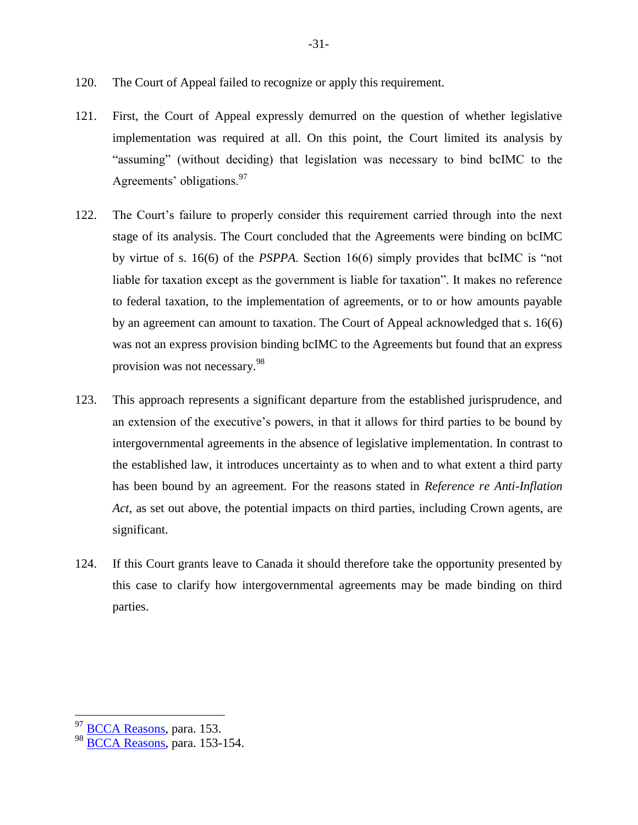- 120. The Court of Appeal failed to recognize or apply this requirement.
- 121. First, the Court of Appeal expressly demurred on the question of whether legislative implementation was required at all. On this point, the Court limited its analysis by "assuming" (without deciding) that legislation was necessary to bind bcIMC to the Agreements' obligations.<sup>97</sup>
- 122. The Court's failure to properly consider this requirement carried through into the next stage of its analysis. The Court concluded that the Agreements were binding on bcIMC by virtue of s. 16(6) of the *PSPPA*. Section 16(6) simply provides that bcIMC is "not liable for taxation except as the government is liable for taxation". It makes no reference to federal taxation, to the implementation of agreements, or to or how amounts payable by an agreement can amount to taxation. The Court of Appeal acknowledged that s. 16(6) was not an express provision binding bcIMC to the Agreements but found that an express provision was not necessary.<sup>98</sup>
- 123. This approach represents a significant departure from the established jurisprudence, and an extension of the executive's powers, in that it allows for third parties to be bound by intergovernmental agreements in the absence of legislative implementation. In contrast to the established law, it introduces uncertainty as to when and to what extent a third party has been bound by an agreement. For the reasons stated in *Reference re Anti-Inflation Act*, as set out above, the potential impacts on third parties, including Crown agents, are significant.
- 124. If this Court grants leave to Canada it should therefore take the opportunity presented by this case to clarify how intergovernmental agreements may be made binding on third parties.

<sup>&</sup>lt;sup>97</sup> [BCCA Reasons,](http://canlii.ca/t/hq7sr) para. 153.

<sup>98</sup> [BCCA Reasons,](http://canlii.ca/t/hq7sr) para. 153-154.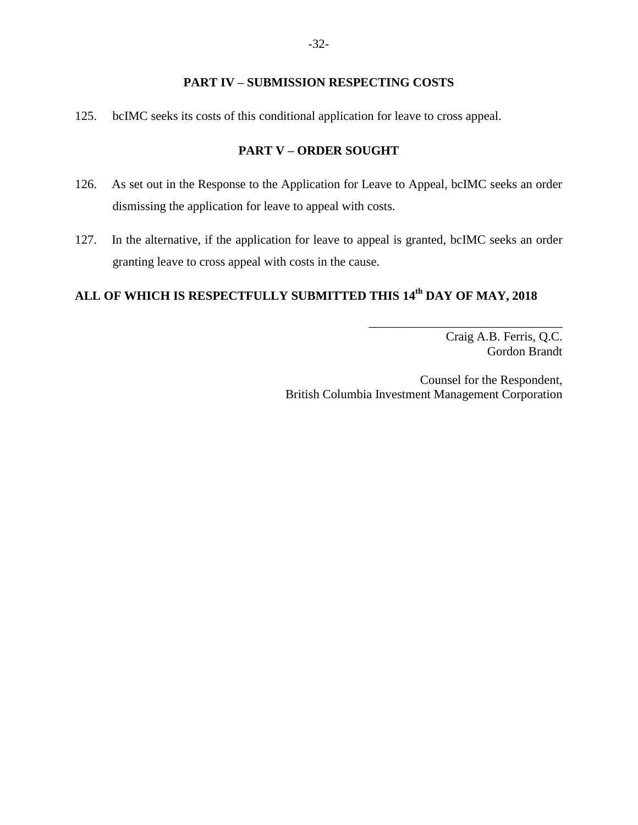### **PART IV – SUBMISSION RESPECTING COSTS**

<span id="page-35-1"></span><span id="page-35-0"></span>125. bcIMC seeks its costs of this conditional application for leave to cross appeal.

#### **PART V – ORDER SOUGHT**

- 126. As set out in the Response to the Application for Leave to Appeal, bcIMC seeks an order dismissing the application for leave to appeal with costs.
- 127. In the alternative, if the application for leave to appeal is granted, bcIMC seeks an order granting leave to cross appeal with costs in the cause.

# **ALL OF WHICH IS RESPECTFULLY SUBMITTED THIS 14th DAY OF MAY, 2018**

Craig A.B. Ferris, Q.C. Gordon Brandt

\_\_\_\_\_\_\_\_\_\_\_\_\_\_\_\_\_\_\_\_\_\_\_\_\_\_\_\_\_\_\_

Counsel for the Respondent, British Columbia Investment Management Corporation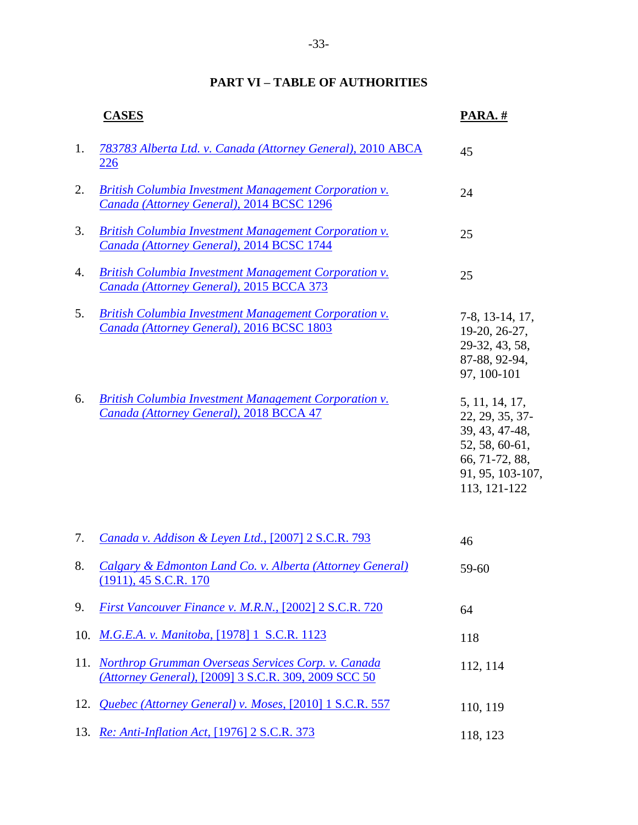# **PART VI – TABLE OF AUTHORITIES**

<span id="page-36-0"></span>

|     | <b>CASES</b>                                                                                                   | PARA.#                                                                                                                      |
|-----|----------------------------------------------------------------------------------------------------------------|-----------------------------------------------------------------------------------------------------------------------------|
| 1.  | 783783 Alberta Ltd. v. Canada (Attorney General), 2010 ABCA<br><b>226</b>                                      | 45                                                                                                                          |
| 2.  | <b>British Columbia Investment Management Corporation v.</b><br>Canada (Attorney General), 2014 BCSC 1296      | 24                                                                                                                          |
| 3.  | <b>British Columbia Investment Management Corporation v.</b><br>Canada (Attorney General), 2014 BCSC 1744      | 25                                                                                                                          |
| 4.  | <b>British Columbia Investment Management Corporation v.</b><br>Canada (Attorney General), 2015 BCCA 373       | 25                                                                                                                          |
| 5.  | British Columbia Investment Management Corporation v.<br>Canada (Attorney General), 2016 BCSC 1803             | 7-8, 13-14, 17,<br>19-20, 26-27,<br>29-32, 43, 58,<br>87-88, 92-94,<br>97, 100-101                                          |
| 6.  | <b>British Columbia Investment Management Corporation v.</b><br>Canada (Attorney General), 2018 BCCA 47        | 5, 11, 14, 17,<br>22, 29, 35, 37-<br>39, 43, 47-48,<br>52, 58, 60-61,<br>66, 71-72, 88,<br>91, 95, 103-107,<br>113, 121-122 |
| 7.  | Canada v. Addison & Leyen Ltd., [2007] 2 S.C.R. 793                                                            | 46                                                                                                                          |
| 8.  | Calgary & Edmonton Land Co. v. Alberta (Attorney General)<br>$(1911), 45$ S.C.R. 170                           | 59-60                                                                                                                       |
| 9.  | First Vancouver Finance v. M.R.N., [2002] 2 S.C.R. 720                                                         | 64                                                                                                                          |
| 10. | M.G.E.A. v. Manitoba, [1978] 1 S.C.R. 1123                                                                     | 118                                                                                                                         |
|     | 11. Northrop Grumman Overseas Services Corp. v. Canada<br>(Attorney General), [2009] 3 S.C.R. 309, 2009 SCC 50 | 112, 114                                                                                                                    |
| 12. | Quebec (Attorney General) v. Moses, [2010] 1 S.C.R. 557                                                        | 110, 119                                                                                                                    |
|     | 13. Re: Anti-Inflation Act, [1976] 2 S.C.R. 373                                                                | 118, 123                                                                                                                    |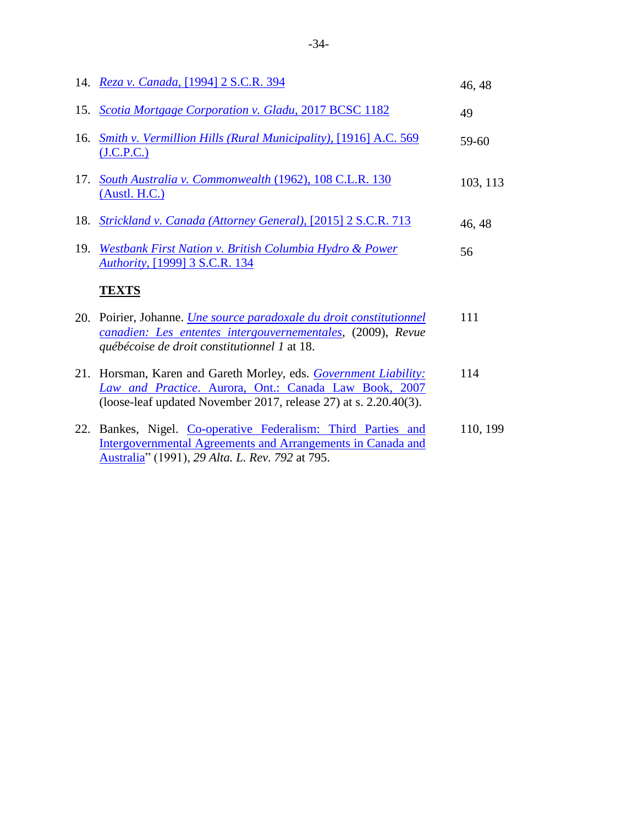|     | 14. Reza v. Canada, [1994] 2 S.C.R. 394                                                                                                                                                       | 46, 48   |
|-----|-----------------------------------------------------------------------------------------------------------------------------------------------------------------------------------------------|----------|
|     | 15. Scotia Mortgage Corporation v. Gladu, 2017 BCSC 1182                                                                                                                                      | 49       |
| 16. | <b>Smith v. Vermillion Hills (Rural Municipality), [1916] A.C. 569</b><br>( <b>J.C.P.C.</b> )                                                                                                 | 59-60    |
|     | 17. South Australia v. Commonwealth (1962), 108 C.L.R. 130<br>(Austl. H.C.)                                                                                                                   | 103, 113 |
| 18. | Strickland v. Canada (Attorney General), [2015] 2 S.C.R. 713                                                                                                                                  | 46, 48   |
| 19. | Westbank First Nation v. British Columbia Hydro & Power<br>Authority, [1999] 3 S.C.R. 134                                                                                                     | 56       |
|     |                                                                                                                                                                                               |          |
|     | <b>TEXTS</b>                                                                                                                                                                                  |          |
| 20. | Poirier, Johanne. <i>Une source paradoxale du droit constitutionnel</i><br>canadien: Les ententes intergouvernementales, (2009), Revue<br>québécoise de droit constitutionnel 1 at 18.        | 111      |
|     | 21. Horsman, Karen and Gareth Morley, eds. Government Liability:<br>Law and Practice. Aurora, Ont.: Canada Law Book, 2007<br>(loose-leaf updated November 2017, release 27) at s. 2.20.40(3). | 114      |